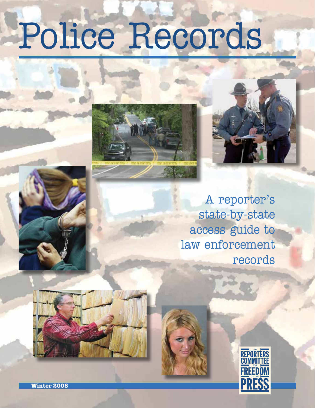# Police Records





A reporter's state-by-state access guide to law enforcement records





**Winter 2008**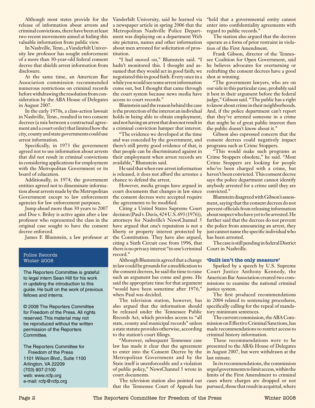release of information about arrests and criminal convictions, there have been at least two recent movements aimed at hiding this valuable information from public view.

In Nashville, Tenn., a Vanderbilt University law professor has sought enforcement of a more than 30-year-old federal consent decree that shields arrest information from disclosure.

At the same time, an American Bar Association commission recommended numerous restrictions on criminal records before withdrawing the resolution from consideration by the ABA House of Delegates in August 2007.

In the early 1970s, a class-action lawsuit in Nashville, Tenn., resulted in two consent decrees (a mix between a contractual agreement and a court order) that limited how the city, county and state governments could use arrest information.

Specifically, in 1973 the government agreed not to use information about arrests that did not result in criminal convictions in considering applications for employment with the Metropolitan Government or its board of education.

Additionally, in 1974, the government entities agreed not to disseminate information about arrests made by the Metropolitan Government except to law enforcement agencies for law enforcement purposes.

Jump ahead more than 30 years to 2007 and Doe v. Briley is active again after a law professor who represented the class in the original case sought to have the consent decree enforced.

James F. Blumstein, a law professor at

#### Police Records Winter 2008

The Reporters Committee is grateful to legal intern Sean Hill for his work in updating the introduction to this guide. He built on the work of previous fellows and interns.

© 2008 The Reporters Committee for Freedom of the Press. All rights reserved. This material may not be reproduced without the written permission of the Reporters Committee.

The Reporters Committee for Freedom of the Press 1101 Wilson Blvd., Suite 1100 Arlington, VA 22209 (703) 807-2100 web: www.rcfp.org e-mail: rcfp@rcfp.org

Although most states provide for the Vanderbilt University, said he learned via a newspaper article in spring 2006 that the Metropolitan Nashville Police Department was displaying on a department Web site pictures, names and other information about men arrested for solicitation of prostitution.

> "I had moved on," Blumstein said. "I hadn't monitored this. I thought and assumed that they would act in good faith; we negotiated this in good faith. Every once in a while you would see some arrest information come out, but I thought that came through the court system because news media have access to court records."

> Blumstein said the reason behind the case is the protection of the interest an individual holds in being able to obtain employment, and not having an arrest that does not result in a criminal conviction hamper that interest.

> "The evidence we developed at the time and was conceded by the government, and there's still pretty good evidence of that, is that people can be discriminated against in their employment when arrest records are available," Blumstein said.

> He said that when raw arrest information is released, it does not afford the arrestee a chance to defend the arrest.

> However, media groups have argued in court documents that changes in law since the consent decrees were accepted require the agreements to be modified.

> Citing a United States Supreme Court decision (Paul v. Davis, 424 U.S. 693 (1976)), attorneys for Nashville's NewsChannel 5 have argued that one's reputation is not a liberty or property interest protected by the Constitution. They have also argued, citing a Sixth Circuit case from 1996, that there is no privacy interest "in one's criminal record."

> Although Blumstein agreed that a change in law could be grounds for a modification to the consent decrees, he said the time to raise such an argument has come and gone. He said the appropriate time for that argument "would have been sometime after 1976," when Paul was decided.

> The television station, however, has also argued that the information should be released under the Tennessee Public Records Act, which provides access to "all state, county and municipal records" unless a state statute provides otherwise, according to the station's court filings.

> "Moreover, subsequent Tennessee case law has made it clear that the agreement to enter into the Consent Decree by the Metropolitan Government and by the State itself is unenforceable and a violation of public policy," NewsChannel 5 wrote in court documents.

> The television station also pointed out that the Tennessee Court of Appeals has

"held that a governmental entity cannot enter into confidentiality agreements with regard to public records."

The station also argued that the decrees operate as a form of prior restraint in violation of the First Amendment.

Frank Gibson, director of the Tennessee Coalition for Open Government, said he believes advocates for overturning or redrafting the consent decrees have a good shot at winning.

"The government lawyers, who are on our side in this particular case, probably said it best in their argument before the federal judge," Gibson said. "The public has a right to know about crime in their neighborhoods. And, if the police department can't report that they've arrested someone in a crime that might be of great public interest then the public doesn't know about it."

Gibson also expressed concern that the consent decrees could negatively impact programs such as Crime Stoppers.

"This would make such programs as Crime Stoppers obsolete," he said. "Most Crime Stoppers are looking for people who've been charged with a crime, but haven't been convicted. This consent decree says the police department cannot identify anybody arrested for a crime until they are convicted."

Blumstein disagreed with Gibson's assessment, saying that the consent decrees do not prevent officials from releasing information about suspect who have yet to be arrested. He further said that the decrees do not prevent the police from announcing an arrest, they just cannot name the specific individual who has been arrested.

The case is still pending in federal District Court in Nashville.

#### **'Guilt isn't the only measure'**

Sparked by a speech by U.S. Supreme Court Justice Anthony Kennedy, the American Bar Association created two commissions to examine the national criminal justice system.

The first produced recommendations in 2004 related to sentencing procedures, specifically calling for the repeal of mandatory minimum sentences.

The current commission, the ABA Commission on Effective Criminal Sanctions, has made recommendations to restrict access to criminal history information.

These recommendations were to be presented to the ABA's House of Delegates in August 2007, but were withdrawn at the last minute.

In its recommendations, the commission urged governments to limit access, within the limits of the First Amendment to criminal cases where charges are dropped or not pursued, those that result in acquittal, where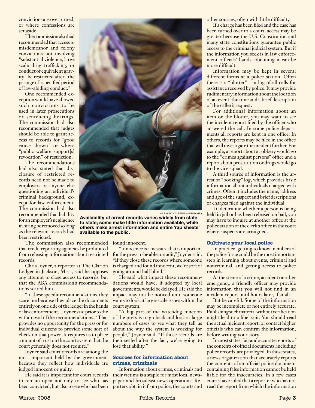convictions are overturned, or where confessions are set aside.

The commission also had recommended that access to misdemeanor and felony convictions not involving "substantial violence, large scale drug trafficking, or conduct of equivalent gravity" be restricted after "the passage of a specified period of law-abiding conduct."

One recommended exception would have allowed such convictions to be used in later prosecutions or sentencing hearings. The commission had also recommended that judges should be able to grant access to records for "good cause shown" or where "public welfare support[s] revocation" of restriction.

The recommendations had also stated that disclosure of restricted records need not be made to employers or anyone else questioning an individual's criminal background, except for law enforcement. The commission had also recommended that liability for an employer's negligence in hiring be removed so long as the relevant records had been restricted.

The commission also recommended that credit reporting agencies be prohibited from releasing information about restricted records.

Chris Joyner, a reporter at The Clarion Ledger in Jackson, Miss., said he opposes any attempt to close access to records, but that the ABA commission's recommendations scared him.

"In these specific recommendations, they scare me because they place the documents entirely on one side of the ledger in the hands of law enforcement," Joyner said prior to the withdrawal of the recommendations. "That provides no opportunity for the press or for individual citizens to provide some sort of check on that power. It requires us to place a mount of trust on the court system that the court generally does not require."

Joyner said court records are among the most important held by the government because they reflect how individuals are judged innocent or guilty.

He said it is important for court records to remain open not only to see who has been convicted, but also to see who has been



AP Photo by Lefteris PitarakisA

**Availability of arrest records varies widely from state to state; some make little information available, while others make arrest information and entire 'rap sheets' available to the public.**

found innocent.

"Innocence is a measure that is important for the press to be able to audit," Joyner said. "If they close these records where someone is charged and found innocent, we're sort of going around half blind."

He said what impact these recommendations would have, if adopted by local governments, would be delayed. He said the impact may not be noticed until someone wants to look at large-scale issues within the court system.

"A big part of the watchdog function of the press is to go back and look at large numbers of cases to see what they tell us about the way the system is working for people," Joyner said. "If those records are then sealed after the fact, we're going to lose that ability."

#### **Sources for information about crimes, criminals**

Information about crimes, criminals and their victims is a staple for most local newspaper and broadcast news operations. Reporters obtain it from police, the courts and other sources, often with little difficulty.

If a charge has been filed and the case has been turned over to a court, access may be greater because the U.S. Constitution and many state constitutions guarantee public access to the criminal judicial system. But if the information you seek is in law enforcement officials' hands, obtaining it can be more difficult.

Information may be kept in several different forms at a police station. Often there is a "blotter" -- a log of all calls for assistance received by police. It may provide rudimentary information about the location of an event, the time and a brief description of the caller's request.

For additional information about an item on the blotter, you may want to see the incident report filed by the officer who answered the call. In some police departments all reports are kept in one office. In others, the reports may be filed in the office that will investigate the incident further. For example, a report about a robbery would go to the "crimes against persons" office and a report about prostitution or drugs would go to the vice squad.

A third source of information is the arrest or "booking" log, which provides basic information about individuals charged with crimes. Often it includes the name, address and age of the suspect and brief descriptions of charges filed against the individual.

To determine whether a person is being held in jail or has been released on bail, you may have to inquire at another office at the police station or the clerk's office in the court where suspects are arraigned.

#### **Cultivate your local police**

In practice, getting to know members of the police force could be the most important step in learning about events, criminal and noncriminal, and getting access to police records.

At the scene of a crime, accident or other emergency, a friendly officer may provide information that you will not find in an incident report until hours later, if at all.

But be careful. Some of the information may be incomplete or not entirely accurate. Publishing such material without verification might lead to a libel suit. You should read the actual incident report, or contact higher officials who can confirm the information, before writing your story.

In most states, fair and accurate reports of the contents of official documents, including police records, are privileged. In those states, a news organization that accurately reports the contents of an official police document containing false information cannot be held liable for the inaccuracies. In a few cases courts have ruled that a reporter who has not read the report from which the information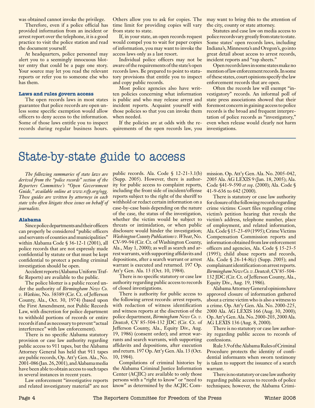was obtained cannot invoke the privilege.

Therefore, even if a police official has provided information from an incident or arrest report over the telephone, it is a good practice to visit the police station and read the document yourself.

At headquarters, police personnel may alert you to a seemingly innocuous blotter entry that could be a page one story. Your source may let you read the relevant reports or refer you to someone else who has them.

#### **Laws and rules govern access**

The open records laws in most states guarantee that police records are open unless some specific exemption would allow officers to deny access to the information. Some of those laws entitle you to inspect records during regular business hours. time limit for providing copies will vary from state to state.

If, in your state, an open records request would compel you to wait for paper copies of information, you may want to invoke the access laws only as a last resort.

Individual police officers may not be aware of the requirements of the state's open records laws. Be prepared to point to statutory provisions that entitle you to inspect and copy public records.

Most police agencies also have written policies concerning what information is public and who may release arrest and incident reports. Acquaint yourself with those policies so that you can invoke them when needed.

If the policies are at odds with the requirements of the open records law, you

Others allow you to ask for copies. The may want to bring this to the attention of the city, county or state attorney.

> Statutes and case law on media access to police records vary greatly from state to state. Some states' open records laws, including Indiana's, Minnesota's and Oregon's, go into great detail about access to arrest records, incident reports and "rap sheets."

> Open records laws in some states make no mention of law enforcement records. In some of these states, court opinions specify the law enforcement records that are open.

> Often the records law will exempt "investigatory" records. An informal poll of state press associations showed that their foremost concern in gaining access to police records is the broad and frequent interpretation of police records as "investigatory," even when release would clearly not harm investigations.

## State-by-state guide to access

*The following summaries of state laws are derived from the "police records" section of the Reporters Committee's "Open Government Guide," available online at www.rcfp.org/ogg. These guides are written by attorneys in each state who often litigate these issues on behalf of journalists.*

#### **Alabama**

Since police departments and their officers can properly be considered "public officers and servants of counties and municipalities" within Alabama Code § 36-12-1 (2001), all police records that are not expressly made confidential by statute or that must be kept confidential to protect a pending criminal investigation should be open.

Accident reports (Alabama Uniform Traffic Reports) are available to the public.

The police blotter is a public record under the authority of *Birmingham News Co. v. Watkins,* No. 38389 (Cir. Ct. of Jefferson County, Ala., Oct. 30, 1974) (based upon the First Amendment, not Public Records Law, with discretion for police department to withhold portions of records or entire records if and as necessary to prevent "actual interference" with law enforcement).

There is no specific Alabama statutory provision or case law authority regarding public access to 911 tapes, but the Alabama Attorney General has held that 911 tapes are public records, Op. Att'y Gen. Ala., No. 2001-086 (Jan. 26, 2001), and Alabama media have been able to obtain access to such tapes in several instances in recent years.

Law enforcement "investigative reports and related investigatory material" are not public records. Ala. Code § 12-21-3.1(b) (Supp. 2005). However, there is authority for public access to complaint reports, including the front side of incident/offense reports subject to the right of the sheriff to withhold or redact certain information on a case-by-case basis depending on the nature of the case, the status of the investigation, whether the victim would be subject to threats or intimidation, or when public disclosure would hinder the investigation; *Washington County Publications v. Wheat*, No. CV-99-94 (Cir. Ct. of Washington County, Ala., May 1, 2000); as well as search and arrest warrants, with supporting affidavits and depositions, after a search warrant or arrest warrant is executed and returned. 197 Op. Att'y Gen. Ala. 13 (Oct. 10, 1984).

There is no specific statutory or case law authority regarding public access to records of closed investigations.

There is authority for public access to the following arrest records: arrest reports, with redaction of witness identification and witness reports at the discretion of the police department, *Birmingham News Co. v. Deutcsh,* CV 85-504-132 JDC (Cir. Ct. of Jefferson County, Ala., Equity Div., Aug. 19, 1986) (consent order); and arrest warrants and search warrants, with supporting affidavits and depositions, after execution and return. 197 Op. Att'y Gen. Ala. 13 (Oct. 10, 1984).

Compilations of criminal histories by the Alabama Criminal Justice Information Center (ACJIC) are available to only those persons with a "right to know" or "need to know" as determined by the ACJIC Commission. Op. Att'y Gen. Ala. No. 2005-042, 2005 Ala. AG LEXIS 9 (Jan. 18, 2005); Ala. Code §41-9-590 *et seq*. (2000); Ala. Code § 41-9-636 to 642 (2000).

There is statutory or case law authority for closure of the following records regarding crime victims: Court files regarding crime victim's petition hearing that reveals the victim's address, telephone number, place of employment, and related information, Ala. Code § 15-23-69 (1995); Crime Victims Compensation Commission reports and information obtained from law enforcement officers and agencies, Ala. Code § 15-23-5 (1995); child abuse reports and records, Ala. Code § 26-14-8(c) (Supp. 2005); and complainant identification on arrest reports. *Birmingham News Co. v. Deutcsh,* CV 85-504- 132 JDC (Cir. Ct. of Jefferson County, Ala., Equity Div., Aug. 19, 1986).

Alabama Attorney General opinions have approved closure of information gathered about a crime victim who is also a witness to a crime. Op. Att'y Gen. Ala. No. 2000-225, 2000 Ala. AG LEXIS 166 (Aug. 30, 2000); Op. Att'y Gen. Ala. No. 2000-203, 2000 Ala. AG LEXIS 136 (Aug. 8, 2000).

There is no statutory or case law authority regarding public access to records of confessions.

Rule 3.9 of the Alabama Rules of Criminal Procedure protects the identity of confidential informants when sworn testimony is taken to support the issuance of a search warrant.

There is no statutory or case law authority regarding public access to records of police techniques; however, the Alabama Crimi-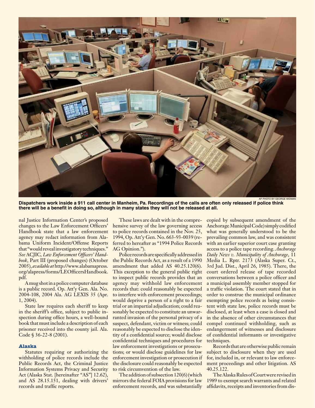

**Dispatchers work inside a 911 call center in Manheim, Pa. Recordings of the calls are often only released if police think there will be a benefit in doing so, although in many states they will not be released at all.**

nal Justice Information Center's proposed changes to the Law Enforcement Officers' Handbook state that a law enforcement agency may redact information from Alabama Uniform Incident/Offense Reports that "would reveal investigatory techniques." *See* ACJIC*, Law Enforcement Officers' Handbook*, Part III (proposed changes) (October 2005), *available at* http://www.alabamapress. org/alapress/forms/LEOfficersHandbook. pdf.

A mug shot in a police computer database is a public record. Op. Att'y Gen. Ala. No. 2004-108, 2004 Ala. AG LEXIS 35 (Apr. 1, 2004).

State law requires each sheriff to keep in the sheriff's office, subject to public inspection during office hours, a well-bound book that must include a description of each prisoner received into the county jail. Ala. Code § 36-22-8 (2001).

#### **Alaska**

Statutes requiring or authorizing the withholding of police records include the Public Records Act, the Criminal Justice Information Systems Privacy and Security Act (Alaska Stat. [hereinafter "AS"] 12.62), and AS 28.15.151, dealing with drivers' records and traffic reports.

These laws are dealt with in the comprehensive survey of the law governing access to police records contained in the Nov. 25, 1994, Op. Att'y Gen. No. 663-93-0039 (referred to hereafter as "1994 Police Records AG Opinion.").

Police records are specifically addressed in the Public Records Act, as a result of a 1990 amendment that added AS 40.25.120(6). This exception to the general public right to inspect public records provides that an agency may withhold law enforcement records that: could reasonably be expected to interfere with enforcement proceedings; would deprive a person of a right to a fair trial or an impartial adjudication; could reasonably be expected to constitute an unwarranted invasion of the personal privacy of a suspect, defendant, victim or witness; could reasonably be expected to disclose the identity of a confidential source; would disclose confidential techniques and procedures for law enforcement investigations or prosecutions; or would disclose guidelines for law enforcement investigation or prosecution if the disclosure could reasonably be expected to risk circumvention of the law.

The addition of subsection 120(6) (which mirrors the federal FOIA provisions for law enforcement records, and was substantially

copied by subsequent amendment of the Anchorage Municipal Code) simply codified what was generally understood to be the prevailing common law, and was consistent with an earlier superior court case granting access to a police tape recording. *Anchorage Daily News v. Municipality of Anchorage*, 11 Media L. Rptr. 2173 (Alaska Super. Ct., 3rd Jud. Dist., April 26, 1985). There, the court ordered release of tape recorded conversations between a police officer and a municipal assembly member stopped for a traffic violation. The court stated that in order to construe the municipal ordinance exempting police records as being consistent with state law, police records must be disclosed, at least when a case is closed and in the absence of other circumstances that compel continued withholding, such as endangerment of witnesses and disclosure of confidential informants or investigative techniques.

Records that are otherwise public remain subject to disclosure when they are used for, included in, or relevant to law enforcement proceedings and other litigation. AS 40.25.122.

The Alaska Rules of Court were revised in 1989 to exempt search warrants and related affidavits, receipts and inventories from dis-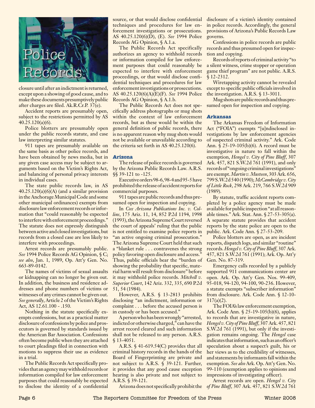

closure until after an indictment is returned, except upon a showing of good cause, and to make these documents presumptively public after charges are filed. Ak.R.Cr.P. 37(e).

Accident reports are presumably open, subject to the restrictions permitted by AS 40.25.120(a)(6).

Police blotters are presumably open under the public records statute, and case law interpreting similar statutes.

911 tapes are presumably available on the same basis as other police records, and have been obtained by news media, but in any given case access may be subject to arguments based on the Victim's Rights Act, and balancing of personal privacy interests in individual cases.

The state public records law, in AS  $40.25.120(a)(6)(A)$  (and a similar provision in the Anchorage Municipal Code and some other municipal ordinances) exempts from disclosure law enforcement records or information that "could reasonably be expected to interfere with enforcement proceedings." The statute does not expressly distinguish between active and closed investigations, but records from a closed case are less likely to interfere with proceedings.

Arrest records are presumably public. *See* 1994 Police Records AG Opinion, § C; *see also*, Jan. 1, 1989, Op. Att'y Gen. No. 663-89-0142.

The names of victims of sexual assaults or kidnapping can no longer be given out. In addition, the business and residence addresses and phone numbers of victims or witnesses of any crimes cannot be given out. *See generally*, Article 2 of the Victim's Rights Act, AS 12.61.100 - .150.

Nothing in the statute specifically exempts confessions, but as a practical matter disclosure of confessions by police and prosecutors is governed by standards issued by the American Bar Association. Confessions often become public when they are attached to court pleadings filed in connection with motions to suppress their use as evidence in a trial.

The Public Records Act specifically provides that an agency may withhold records or information compiled for law enforcement purposes that could reasonably be expected to disclose the identity of a confidential

source, or that would disclose confidential techniques and procedures for law enforcement investigations or prosecutions. AS 40.25.120(6)(D), (E). *See* 1994 Police Records AG Opinion, § A.1.a.

The Public Records Act specifically authorizes an agency to withhold records or information compiled for law enforcement purposes that could reasonably be expected to interfere with enforcement proceedings, or that would disclose confidential techniques and procedures for law enforcement investigations or prosecutions. AS 40.25.120(6)(A)(E)(F). *See* 1994 Police Records AG Opinion, § A.1.b.

The Public Records Act does not specifically address photographs or mug shots within the context of law enforcement records, but as these would be within the general definition of public records, there is no apparent reason why mug shots would not be available or unavailable according to the criteria set forth in AS 40.25.120(6).

#### **Arizona**

The release of police records is governed by the Arizona Public Records Law. A.R.S. §§ 39-121 to -125.

Executive orders 98-6, 98-4 and 95-5 have prohibited the release of accident reports for commercial purposes.

911 tapes are public records and thus presumed open for inspection and copying.

In *Cox Arizona Publications Inc. v. Collins*, 175 Ariz. 11, 14, 852 P.2d 1194, 1998 (1993), the Arizona Supreme Court reversed the court of appeals' ruling that the public is not entitled to examine police reports in "an active ongoing criminal prosecution." The Arizona Supreme Court held that such a "blanket rule . . . contravenes the strong policy favoring open disclosure and access." Thus, public officials bear the "burden of showing the probability that specific, material harm will result from disclosure" before it may withhold police records. *Mitchell v. Superior Court*, 142 Ariz. 332, 335, 690 P.2d 51, 54 (1984).

However, A.R.S. § 13-2813 prohibits disclosing "an indictment, information or complaint . . . before the accused person is in custody or has been accused."

A person who has been wrongly "arrested, indicted or otherwise charged," can have the arrest record cleared and such information shall not be released to any person. A.R.S. § 13-4051.

A.R.S. § 41-619.54(C) provides that all criminal history records in the hands of the Board of Fingerprinting are private and not subject to A.R.S. § 39-121. Further, it provides that any good cause exception hearing is also private and not subject to A.R.S. § 39-121.

Arizona does not specifically prohibit the

disclosure of a victim's identity contained in police records. Accordingly, the general provisions of Arizona's Public Records Law governs.

Confessions in police records are public records and thus presumed open for inspection and copying.

Records of reports of criminal activity "to a silent witness, crime stopper or operation game thief program" are not public. A.R.S. § 12-2312.

Wiretapping activity cannot be revealed except to specific public officials involved in the investigation. A.R.S. § 13-3011.

Mug shots are public records and thus presumed open for inspection and copying.

#### **Arkansas**

The Arkansas Freedom of Information Act ("FOIA") exempts "[u]ndisclosed investigations by law enforcement agencies of suspected criminal activity." Ark. Code Ann. § 25-19-105(b)(6). A record must be investigative in nature to fall within the exemption, *Hengel v. City of Pine Bluff*, 307 Ark. 457, 821 S.W.2d 761 (1991), and only records of "ongoing criminal investigations" are exempt. *Martin v. Musteen*, 303 Ark. 656, 799 S.W.2d 540 (1990); *McCambridge v. City of Little Rock*, 298 Ark. 219, 766 S.W.2d 909 (1989).

By statute, traffic accident reports completed by a police agency must be made available for public inspection "at all reasonable times." Ark. Stat. Ann. § 27-53-305(a). A separate statute provides that accident reports by the state police are open to the public. Ark. Code Ann. § 27-53-209.

Police blotters are open, as are incident reports, dispatch logs, and similar "routine" records. *Hengel v. City of Pine Bluff*, 307 Ark. 457, 821 S.W.2d 761 (1991); Ark. Op. Att'y Gen. No. 87-319.

Emergency calls recorded by a publicly supported 911 communications center are open. Ark. Op. Att'y Gen. Nos. 99-409, 95-018, 94-120, 94-100, 90-236. However, a statute exempts "subscriber information" from disclosure. Ark. Code Ann. § 12-10- 317(a)(2).

The FOIA's law enforcement exemption, Ark. Code Ann. § 25-19-105(b)(6), applies to records that are investigative in nature, *Hengel v. City of Pine Bluff*, 307 Ark. 457, 821 S.W.2d 761 (1991), but only if the investigation remains ongoing. The *Hengel* case indicates that information, such as an officer's speculation about a suspect's guilt, his or her views as to the credibility of witnesses, and statements by informants fall within the exemption. *See also* Ark. Op. Att'y Gen. No. 99-110 (exemption applies to opinions and impressions of investigating officer).

Arrest records are open. *Hengel v. City of Pine Bluff*, 307 Ark. 457, 821 S.W.2d 761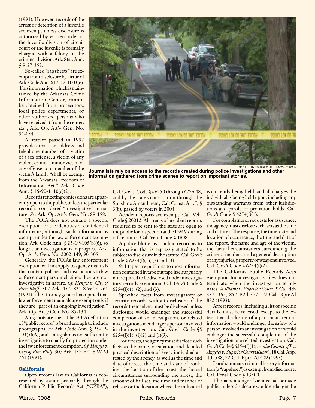(1991). However, records of the arrest or detention of a juvenile are exempt unless disclosure is authorized by written order of the juvenile division of circuit court or the juvenile is formally charged with a felony in the criminal division. Ark. Stat. Ann. § 9-27-352.

So-called "rap sheets" are exempt from disclosure by virtue of Ark. Code Ann. § 12-12-1003(e). This information, which is maintained by the Arkansas Crime Information Center, cannot be obtained from prosecutors, local police departments, or other authorized persons who have received it from the center. *E.g.*, Ark. Op. Att'y Gen. No. 94-054.

A statute passed in 1997 provides that the address and telephone number of a victim of a sex offense, a victim of any violent crime, a minor victim of any offense, or a member of the victim's family "shall be exempt from the Arkansas Freedom of Information Act." Ark. Code Ann.  $$16-90-1110(c)(2)$ .

Records reflecting confessions are apparently open to the public, unless the particular record is considered "investigative" in nature. *See* Ark. Op. Att'y Gen. No. 89-158.

The FOIA does not contain a specific exemption for the identities of confidential informants, although such information is exempt under the law enforcement exemption, Ark. Code Ann. § 25-19-105(b)(6), so long as an investigation is in progress. Ark. Op. Att'y Gen. No. 2002-149, 90-305.

Generally, the FOIA's law enforcement exemption will not apply to agency manuals that contain policies and instructions to law enforcement personnel, since they are not investigative in nature. *Cf. Hengel v. City of Pine Bluff*, 307 Ark. 457, 821 S.W.2d 761 (1991). The attorney general has opined that law enforcement manuals are exempt only if they are "part of an ongoing investigation." Ark. Op. Att'y Gen. No. 85-134.

Mug shots are open. The FOIA definition of "public record" is broad enough to include photographs, *see* Ark. Code Ann. § 25-19- 103(5)(A), and a mug shot is not sufficiently investigative to qualify for protection under the law enforcement exemption. *Cf. Hengel v. City of Pine Bluff*, 307 Ark. 457, 821 S.W.2d 761 (1991).

#### **California**

Open records law in California is represented by statute primarily through the California Public Records Act ("CPRA"),

Cal. Gov't. Code §§ 6250 through 6276.48, and by the state's constitution through the Sunshine Amendment, Cal. Const. Art. I, § 3(b), passed by voters in 2004.

Accident reports are exempt. Cal. Veh. Code § 20012. Abstracts of accident reports required to be sent to the state are open to the public for inspection at the DMV during office hours. Cal. Veh. Code § 1808.

A police blotter is a public record as to information that is expressly stated to be subject to disclosure in the statute. Cal. Gov't Code  $\S$  6254(f)(1), (2) and (3).

911 tapes are public as to most information contained in tape but tape itself arguably not required to be disclosed under investigatory records exemption. Cal. Gov't Code §  $6254(f)(1)$ ,  $(2)$ , and  $(3)$ .

Specified facts from investigatory or security records, without disclosure of the records themselves, must be disclosed unless disclosure would endanger the successful completion of an investigation, or related investigation, or endanger a person involved in the investigation. Cal. Gov't Code §§ 6254(f)(1), (f)(2) and (f)(3).

For arrests, the agency must disclose such facts as the name, occupation and detailed physical description of every individual arrested by the agency, as well as the time and date of arrest, the time and date of booking, the location of the arrest, the factual circumstances surrounding the arrest, the amount of bail set, the time and manner of release or the location where the individual is currently being held, and all charges the individual is being held upon, including any outstanding warrants from other jurisdictions and parole or probation holds. Cal. Gov't Code § 6254(f)(1).

For complaints or requests for assistance, the agency must disclose such facts as the time and nature of the response, the time, date and location of occurrence, the time and date of the report, the name and age of the victim, the factual circumstances surrounding the crime or incident, and a general description of any injuries, property or weapons involved. Cal. Gov't Code § 6254(f)(2).

The California Public Records Act's exemption for investigatory files does not terminate when the investigation terminates. *Williams v. Superior Court*, 5 Cal. 4th 337, 362, 852 P.2d 377, 19 Cal. Rptr.2d 882 (1993).

Arrest records, including a list of specific details, must be released, except to the extent that disclosure of a particular item of information would endanger the safety of a person involved in an investigation or would endanger the successful completion of the investigation or a related investigation. Cal. Gov't Code § 6254(f)(1); *see also County of Los Angeles v. Superior Court* (*Kusar*), 18 Cal. App. 4th 588, 22 Cal. Rptr. 2d 409 (1993)*.*

Local summary criminal history information (a "rap sheet") is exempt from disclosure. Cal. Penal Code § 13300.

The name and age of victims shall be made public, unless disclosure would endanger the



AP Photo by David Kidwell , *Pocono Record* **Journalists rely on access to the records created during police investigations and other information gathered from crime scenes to report on important stories.**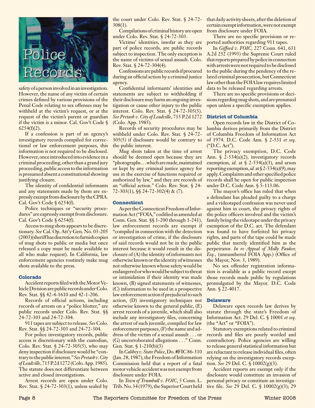

safety of a person involved in an investigation. However, the name of any victim of certain crimes defined by various provisions of the Penal Code relating to sex offenses may be withheld at the victim's request, or at the request of the victim's parent or guardian if the victim is a minor. Cal. Gov't Code §  $6254(f)(2)$ .

If a confession is part of an agency's investigatory records compiled for correctional or law enforcement purposes, this information is not required to be disclosed. However, once introduced into evidence in a criminal proceeding, other than a grand jury proceeding, public access to the information is presumed absent a constitutional showing justifying closure.

The identity of confidential informants and any statements made by them are expressly exempt from disclosure by the CPRA. Cal. Gov't Code § 6254(f).

Police techniques or "security procedures" are expressly exempt from disclosure. Cal. Gov't Code § 6254(f).

Access to mug shots appears to be discretionary. *See* Cal. Op. Att'y Gen. No. 03-205 (2003)(sheriff has discretion to furnish copies of mug shots to public or media but once released a copy must be made available to all who make request). In California, law enforcement agencies routinely make mug shots available to the press.

#### **Colorado**

Accident reports filed with the Motor Vehicle Division are public records under Colo. Rev. Stat. §§ 42-4-1610 and 42-1-206.

Records of official actions, including records of arrests on a "police blotter," are public records under Colo. Rev. Stat. §§ 24-72-303 and 24-72-304.

911 tapes are subject to release. *See* Colo. Rev. Stat. §§ 24-72-303 and 24-72-304.

For police investigatory records, public access is discretionary with the custodian, Colo. Rev. Stat. § 24-72-305(5), who may deny inspection if disclosure would be "contrary to the public interest." *See Pretash v. City of Leadville*, 715 P.2d 1272 (Colo. App. 1985). The statute does not differentiate between active and closed investigations.

Arrest records are open under Colo. Rev. Stat. § 24-72-303(1), unless sealed by 308(1).

Compilations of criminal history are open under Colo. Rev. Stat. § 24-72-303.

Victims' identities, insofar as they are part of police records, are public records subject to inspection. The only exception is the name of victims of sexual assault. Colo. Rev. Stat. § 24-72-304(4).

Confessions are public records if procured during an official action by a criminal justice agency.

Confidential informants' identities and statements are subject to withholding if their disclosure may harm an ongoing investigation or cause other injury to the public interest. Colo. Rev. Stat. § 24-72-305(5). *See Pretash v. City of Leadville*, 715 P.2d 1272 (Colo. App. 1985).

withheld under Colo. Rev. Stat. § 24-72- 305(5) if disclosure would be contrary to the public interest.

Mug shots taken at the time of arrest should be deemed open because they are "photographs . . . which are made, maintained or kept by any criminal justice agency for use in the exercise of functions required or authorized by law," and they are records of an "official action." Colo. Rev. Stat. § 24- 72-303(1), §§ 24-72-302(4) & (7).

#### **Connecticut**

As per the Connecticut Freedom of Information Act ("FOIA," codified as amended at Conn. Gen. Stat. §§ 1-200 through 1-241), law enforcement records are exempt if "compiled in connection with the detection or investigation of crime, if the disclosure of said records would not be in the public interest because it would result in the disclosure of (A) the identity of informants not otherwise known or the identity of witnesses not otherwise known whose safety would be endangered or who would be subject to threat or intimidation if their identity was made known, (B) signed statements of witnesses, (C) information to be used in a prospective law enforcement action if prejudicial to such action, (D) investigatory techniques not otherwise known to the general public, (E) arrest records of a juvenile, which shall also include any investigatory files, concerning the arrest of such juvenile, compiled for law enforcement purposes, (F) the name and address of the victim of a sexual assault . . . or (G) uncorroborated allegations . . ." Conn. Gen. Stat. § 1-210(b)(3)

In *Calibey v. State Police*, Do. #FIC 86-310 (Jan. 28, 1987), the Freedom of Information Commission held that a report of a fatal motor vehicle accident was not exempt from disclosure under FOIA.

In *Town of Trumbull v. FOIC*, 5 Conn. L. Trib. No. 34 (1979), the Superior Court held

the court under Colo. Rev. Stat. § 24-72- that daily activity sheets, after the deletion of certain exempt information, were not exempt from disclosure under FOIA.

> There are no specific provisions or reported authorities regarding 911 tapes.

> In *Gifford v. FOIC*, 227 Conn. 641, 631 A.2d 252 (1993) the Supreme Court ruled that reports prepared by police in connection with arrests were not required to be disclosed to the public during the pendency of the related criminal prosecution, but Connecticut law other than the FOIA law requires limited data to be released regarding arrests.

> There are no specific provisions or decisions regarding mug shots, and are presumed open unless a specific exemption applies.

#### **District of Columbia**

Records of security procedures may be lumbia derives primarily from the District Open records law in the District of Coof Columbia Freedom of Information Act of 1974. D.C. Code Ann. § 2-531 *et seq.* ("D.C. Act").

The privacy exemption, D.C. Code Ann. § 2-534(a)(2), investigatory records exemption, *id.* at  $\sqrt{2-534(a)(3)}$ , and arson reporting exemption, *id.* at § 2-534(a)(9), may apply. Complaints and other specified police records shall be open for public inspection under D.C. Code Ann. § 5-113.06.

The mayor's office has ruled that when a defendant has pleaded guilty to a charge and a videotaped confession was never used against him in court, the privacy rights of the police officers involved and the victim's family bring the videotape under the privacy exemption of the D.C. act. The defendant was found to have forfeited his privacy rights, and parts of the tape could be made public that merely identified him as the perpetrator. *In re Appeal of Molly Pauker, Esq.*, (unnumbered FOIA App.) (Office of the Mayor, Nov. 3, 1989).

No sex offender registration information is available as a public record except those records made public by regulations promulgated by the Mayor. D.C. Code Ann. § 22-4017.

#### **Delaware**

Delaware open records law derives by statute through the state's Freedom of Information Act. 29 Del. C. § 10001 *et seq*. (the "Act" or "FOIA").

Statutory exemptions related to criminal records and files are poorly worded and contradictory. Police agencies are willing to release general statistical information but are reluctant to release individual files, often relying on the investigatory records exception. *See* 29 Del. C. § 10002(g)(3).

Accident reports are exempt only if the disclosure would constitute an invasion of personal privacy or constitute an investigative file. *See* 29 Del. C. § 10002(g)(3); 29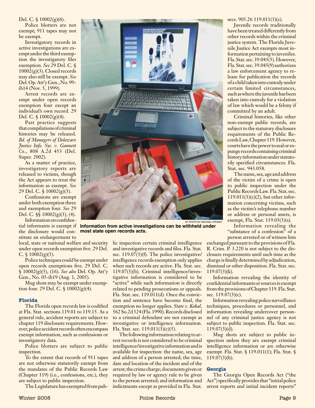#### Del. C. § 10002(g)(6).

Police blotters are not exempt; 911 tapes may not be exempt.

Investigatory records in active investigations are exempt under the third exemption the investigatory files exemption*. See* 29 Del. C. § 10002(g)(3). Closed records may also still be exempt. *See* Del. Op. Att'y Gen., No. 99 ib14 (Nov. 5, 1999).

Arrest records are exempt under open records exemption four except an individual's own record. 29 Del. C. § 10002(g)(4).

Past practice suggests that compilations of criminal histories may be released. *Bd. of Managers of Delaware Justice Info. Sys. v. Gannett Co.*, 808 A.2d 453 (Del. Super. 2002).

As a matter of practice, investigatory reports are released to victims, though the Act appears to treat the information as exempt. *See* 29 Del. C.  $\frac{10002(g)(3)}{2}$ .

Confessions are exempt under both exemption three and exemption four. *See* 29 Del. C. §§ 10002(g)(3), (4).

Information on confidential informants is exempt if the disclosure would constitute an endangerment to

local, state or national welfare and security under open records exemption five. 29 Del. C.  $\sqrt{10002(g)(5)}$ .

Police techniques could be exempt under open records exemptions five. 29 Del. C. § 10002(g)(5), (16)*. See also* Del. Op. Att'y Gen., No. 05-ib19 (Aug. 1, 2005).

Mug shots may be exempt under exemption four. 29 Del. C. § 10002(g)(4).

#### **Florida**

The Florida open records law is codified at Fla. Stat. sections 119.01 to 119.15. As a general rule, accident reports are subject to chapter 119 disclosure requirements. However, police accident records often encompass exempt information, such as confessions or investigatory data.

Police blotters are subject to public inspection.

To the extent that records of 911 tapes are not otherwise statutorily exempt from the mandates of the Public Records Law (Chapter 119) (i.e., confessions, etc.), they are subject to public inspection.

The Legislature has exempted from pub-



**Information from active investigations can be withheld under most state open records acts.**

lic inspection certain criminal intelligence and investigative records and files. Fla. Stat. sec. 119.07(3)(f). The police investigative/ intelligence records exemption only applies when such records are active. Fla. Stat. sec. 119.07(3)(b). Criminal intelligence/investigative information is considered to be "active" while such information is directly related to pending prosecutions or appeals. Fla. Stat. sec. 119.011(d). Once the conviction and sentence have become final, the exemption no longer applies. *State v. Kokal*, 562 So.2d 324 (Fla. 1990). Records disclosed to a criminal defendant are not exempt as investigative or intelligence information. Fla. Stat. sec. 119.011(3)(c)(5).

The following information relating to arrest records is not considered to be criminal intelligence/investigative information and is available for inspection: the name, sex, age and address of a person arrested; the time, date and location of the incident and of the arrest; the crime charge; documents given or required by law or agency rule to be given to the person arrested; and information and indictments except as provided in Fla. Stat. secs. 905.26 119.011(3)(c).

Juvenile records traditionally have been treated differently from other records within the criminal justice system. The Florida Juvenile Justice Act exempts most information pertaining to juveniles. Fla. Stat. sec. 39.045(5). However, Fla. Stat. sec. 39.045(9) authorizes a law enforcement agency to release for publication the records of a child taken into custody under certain limited circumstances, such as where the juvenile has been taken into custody for a violation of law which would be a felony if committed by an adult.

Criminal histories, like other non-exempt public records, are subject to the statutory disclosure requirements of the Public Records Law, Chapter 119.However, courts have the power to seal or expunge records containing criminal history information under statutorily specified circumstances. Fla. Stat. sec. 943.058.

The name, sex, age and address of the victim of a crime is open to public inspection under the Public Records Law. Fla. Stat. sec. 119.011(3)(c)(2), but other information concerning victims, such as the victim's telephone number or address or personal assets, is exempt, Fla. Stat. 119.03(3)(s).

Information revealing the "substance of a confession" of a person arrested or of witness lists

exchanged pursuant to the provisions of Fla. R. Crim. P. 3.220 is not subject to the disclosure requirements until such time as the charge is finally determined by adjudication, dismissal or other disposition. Fla. Stat. sec. 119.07(3)(k).

Information revealing the identity of confidential informants or sources is exempt from the provisions of Chapter 119. Fla. Stat. sec. 119.07(3)(c).

Information revealing police surveillance techniques, procedures or personnel, and information revealing undercover personnel of any criminal justice agency is not subject to public inspection. Fla. Stat. sec. 119.07(3)(d).

Mug shots are subject to public inspection unless they are exempt criminal intelligence information or are otherwise exempt. Fla. Stat. § 119.011(1); Fla. Stat. § 119.07(3)(b).

#### **Georgia**

The Georgia Open Records Act ("the Act") specifically provides that "initial police arrest reports and initial incident reports"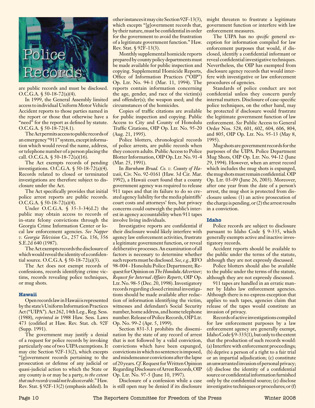

are public records and must be disclosed. O.C.G.A. § 50-18-72(a)(4).

In 1999, the General Assembly limited access to individual Uniform Motor Vehicle Accident reports to those parties named in the report or those that otherwise have a "need" for the report as defined by statute. O.C.G.A. § 50-18-72(4.1).

The Act permits access to public records of an emergency "911" system, except information which would reveal the name, address, or telephone number of a person placing the call. O.C.G.A. § 50-18-72(a)(16).

The Act exempts records of pending investigations. O.C.G.A. § 50-18-72(a)(4). Records related to closed or terminated investigations are therefore subject to disclosure under the Act.

The Act specifically provides that initial police arrest reports are public records. O.C.G.A. § 50-18-72(a)(4).

Under O.C.G.A. § 35-3-34(d.2) the public may obtain access to records of in-state felony convictions through the Georgia Crime Information Center or local law enforcement agencies. *See Napper v. Georgia Television Co.*, 257 Ga. 156, 356 S.E.2d 640 (1987).

The Act exempts records the disclosure of which would reveal the identity of a confidential source. O.C.G.A. § 50-18-72(a)(3).

The Act does not exempt records of confessions, records identifying crime victims, records revealing police techniques, or mug shots.

#### **Hawaii**

Open records law in Hawaii is represented by the state's Uniform Information Practices Act ("UIPA"). Act 262, 14th Leg., Reg. Sess. (1988), *reprinted in* 1988 Haw. Sess. Laws 473 (codified at Haw. Rev. Stat. ch. 92F (Supp. 1991).

The government may justify a denial of a request for police records by invoking particularly one of two UIPA exemptions. It may cite Section 92F-13(2), which excepts "[g]overnment records pertaining to the prosecution or defense of any judicial or quasi-judicial action to which the State or any county is or may be a party, *to the extent that such records would not be discoverable*." Haw. Rev. Stat. § 92F-13(2) (emphasis added). In

other instances it may cite Section 92F-13(3), might threaten to frustrate a legitimate which excepts "[g]overnment records that, by their nature, must be confidential in order for the government to avoid the frustration of a legitimate government function." Haw. Rev. Stat. § 92F-13(3).

Monthly supplemental homicide reports prepared by county policy departments must be made available for public inspection and copying. Supplemental Homicide Reports, Office of Information Practices ("OIP") Op. Ltr. No. 94-1 (Mar. 11, 1994). The reports contain information concerning the age, gender, and race of the victim(s) and offender(s); the weapon used; and the circumstances of the homicides.

Copies of traffic citations are available for public inspection and copying. Public Access to City and County of Honolulu Traffic Citations, OIP Op. Ltr. No. 95-20 (Aug. 21, 1995).

Police blotters, chronological records of police arrests, are public records when they concern adults. Public Access to Police Blotter Information, OIP Op. Ltr. No. 91-4 (Mar. 25, 1991).

In *Burnham Broad. Co. v. County of Hawaii*, Civ. No. 92-0161 (Haw. 3d Cir. Mar. 1992), a Hawaii court found that a county government agency was required to release 911 tapes and that its failure to do so created agency liability for the media plaintiffs' court costs and attorneys' fees, but privacy concerns could outweigh the public's interest in agency accountability when 911 tapes involve living individuals.

Investigative reports are confidential if their disclosure would likely interfere with agency law enforcement activities, frustrate a legitimate government function, or reveal deliberative processes. An examination of all factors is necessary to determine whether such reports must be disclosed. *See, e.g.*, RFO 98-004 - Honolulu Police Department; Request for Opinion on *The Honolulu Advertiser; Request for Internal Affairs Reports*, OIP Op. Ltr. No. 98-5 (Dec. 20, 1998). Investigatory records regarding closed criminal investigations should be made available after redaction of information identifying the victim, witnesses and defendant's Social Security number, home address, and home telephone number. Release of Police Records, OIP Ltr. Op. No. 99-2 (Apr. 5, 1999).

Section 831-3.1 prohibits the dissemination by the state of any record of arrest that is not followed by a valid conviction, convictions which have been expunged, convictions in which no sentence is imposed, and misdemeanor convictions after the lapse of 20 years. *Cf.* Request for Written Opinion Regarding Disclosure of Arrest Records, OIP Op. Ltr. No. 97-5 (June 10, 1997).

Disclosure of a confession while a case is still open may be denied if its disclosure government function or interfere with law enforcement measures.

The UIPA has no *specific* general exception for information compiled for law enforcement purposes that would, if disclosed, identify a confidential informant or reveal confidential investigative techniques. Nevertheless, the OIP has exempted from disclosure agency records that would interfere with investigative or law enforcement procedures of agencies.

Standards of police conduct are not confidential unless they concern purely internal matters. Disclosure of case-specific police techniques, on the other hand, may be protected if disclosure would frustrate the legitimate government function of law enforcement. *See* Public Access to General Order Nos. 528, 601, 602, 604, 606, 804, and 805, OIP Op. Ltr. No. 95-13 (May 8, 1995).

Mug shots are government records for the purposes of the UIPA. Police Department Mug Shots, OIP Op. Ltr. No. 94-12 (June 29, 1994). However, when an arrest record which includes the mug shots is expunged, the mug shots must remain confidential. OIP Op. Ltr. 03-09 (June 26, 2003). Moreover, after one year from the date of a person's arrest, the mug shot is protected from disclosure unless: (1) an active prosecution of the charge is pending, or (2) the arrest results in a conviction.

#### **Idaho**

Police records are subject to disclosure pursuant to Idaho Code § 9-335, which generally exempts active and inactive investigatory records.

Accident reports should be available to the public under the terms of the statute, although they are not expressly discussed.

Police blotters should also be available to the public under the terms of the statute, although they are not expressly discussed.

911 tapes are handled in an erratic manner by Idaho law enforcement agencies. Although there is no express exception that applies to such tapes, agencies claim that release of the tapes would constitute an invasion of privacy.

Records of active investigations compiled for law enforcement purposes by a law enforcement agency are generally exempt, Idaho Code § 9-335(1), but only to the extent that the production of such records would: (a) Interfere with enforcement proceedings; (b) deprive a person of a right to a fair trial or an impartial adjudication; (c) constitute an unwarranted invasion of personal privacy; (d) disclose the identity of a confidential source or confidential information furnished only by the confidential source; (e) disclose investigative techniques or procedures; or (f)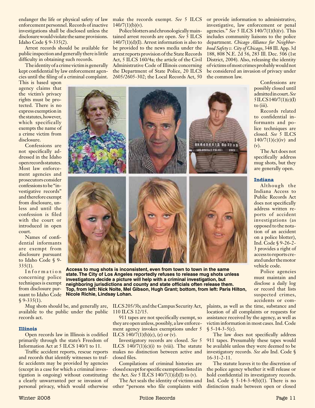endanger the life or physical safety of law enforcement personnel. Records of inactive investigations shall be disclosed unless the disclosure would violate the same provisions. Idaho Code § 9-335(2).

Arrest records should be available for public inspection and generally there is little difficulty in obtaining such records.

The identity of a crime victim is generally kept confidential by law enforcement agencies until the filing of a criminal complaint.

This is based upon agency claims that the victim's privacy rights must be protected. There is no express exemption in the statutes, however, which specifically exempts the name of a crime victim from disclosure.

Confessions are not specifically addressed in the Idaho open records statutes. Most law enforcement agencies and prosecutors consider confessions to be "investigative records" and therefore exempt from disclosure, unless and until the confession is filed with the court or introduced in open court.

Names of confidential informants are exempt from disclosure pursuant to Idaho Code § 9-  $335(1)$ .

Information concerning police techniques is exempt from disclosure pursuant to Idaho Code  $$9-335(1).$ 

make the records exempt. *See* 5 ILCS or provide information to administrative,  $140/7(1)(b)(v)$ . Police blotters and chronologically main-

tained arrest records are open. *See* 5 ILCS  $140/7(1)(d)(I)$ . Arrest information is also to be provided to the news media under the arrest reports provision of the State Records Act, 5 ILCS 160/4a; the article of the Civil Administrative Code of Illinois concerning the Department of State Police, 20 ILCS 2605/2605-302; the Local Records Act, 50

investigative, law enforcement or penal agencies." *See* 5 ILCS 140/7(1)(b)(v). This includes community liaisons to the police department. *Chicago Alliance for Neighborhood Safety v. City of Chicago*, 348 Ill. App. 3d 188, 808 N.E. 2d 56, 283 Ill. Dec. 506 (1st District, 2004). Also, releasing the identity of victims of most crimes probably would not be considered an invasion of privacy under the common law.



**Access to mug shots is inconsistent, even from town to town in the same state. The City of Los Angeles reportedly refuses to release mug shots unless investigators decide a picture will help with a criminal investigation, but neighboring jurisdictions and county and state officials often release them. Top, from left: Nick Nolte, Mel Gibson, Hugh Grant; bottom, from left: Paris Hilton, Nicole Richie, Lindsay Lohan.**

Mug shots should be, and generally are, available to the public under the public 110 ILCS 12/15. records act.

#### **Illinois**

Open records law in Illinois is codified primarily through the state's Freedom of Information Act at 5 ILCS 140/1 to 11.

Traffic accident reports, rescue reports and records that identify witnesses to traffic accidents may be provided by agencies (except in a case for which a criminal investigation is ongoing) without constituting a clearly unwarranted per se invasion of personal privacy, which would otherwise ILCS 205/3b; and the Campus Security Act,

911 tapes are not specifically exempt, so they are open unless, possibly, a law enforcement agency invokes exemptions under 5 ILCS  $140/7(1)(b)(c)$ , (e) or (v).

Investigatory records are closed. *See* 5 ILCS  $140/7(1)(c)(i)$  to (viii). The statute makes no distinction between active and closed files.

Compilations of criminal histories are closed except for specific exemptions listed in the Act. *See* 5 ILCS 140/7(1)(d)(I) to (v).

The Act seals the identity of victims and other "persons who file complaints with plaints, as well as the time, substance and location of all complaints or requests for assistance received by the agency, as well as victim information in most cases. Ind. Code  $$5-14-3-5(c).$ 

The law does not specifically address 911 tapes. Presumably these tapes would be available unless they were deemed to be investigatory records. *See also* Ind. Code § 16-31-2-11.

The statute leaves it to the discretion of the police agency whether it will release or hold confidential its investigatory records. Ind. Code  $\S$  5-14-3-4(b)(1). There is no distinction made between open or closed

Confessions are possibly closed until admitted in court. *See* 5 ILCS 140/7(1)(c)(I) to (iii).

Records related to confidential informants and police techniques are closed. *See* 5 ILCS  $140/7(1)(c)(iv)$  and (v).

The Act does not specifically address mug shots, but they are generally open.

#### **Indiana**

Although the Indiana Access to Public Records Act does not specifically address written reports of accident investigations (as opposed to the notation of an accident on a police blotter), Ind. Code § 9-26-2- 3 provides a right of access to reports created under the motor vehicle code.

Police agencies must maintain and disclose a daily log or record that lists suspected crimes, accidents or com-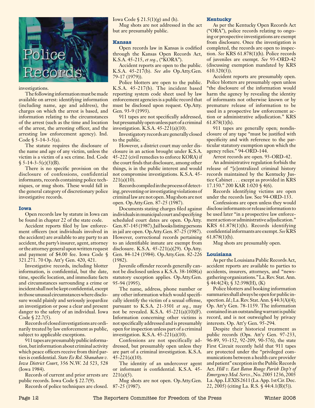

investigations.

The following information must be made available on arrest: identifying information (including name, age and address), the charges on which the arrest is based, and information relating to the circumstances of the arrest (such as the time and location of the arrest, the arresting officer, and the arresting law enforcement agency). Ind. Code  $\S$  5-14-3-5(a).

The statute requires the disclosure of the name and age of any victim, unless the victim is a victim of a sex crime. Ind. Code  $$5-14-3-5(c)(3)(B).$ 

There is no specific provision on the disclosure of confessions, confidential informants, records containing police techniques, or mug shots. These would fall in the general category of discretionary police investigative records.

#### **Iowa**

Open records law by statute in Iowa can be found in chapter 22 of the state code.

Accident reports filed by law enforcement officers (not individuals involved in the accident) are available to any party to an accident, the party's insurer, agent, attorney or the attorney general upon written request and payment of \$4.00 fee. Iowa Code § 321.271. 70 Op. Att'y Gen. 420, 421.

Investigative records, including blotter information, is confidential, but the date, time, specific location, and immediate facts and circumstances surrounding a crime or incident shall not be kept confidential, except in those unusual circumstances where disclosure would plainly and seriously jeopardize an investigation or pose a clear and present danger to the safety of an individual. Iowa Code § 22.7(5).

Records of closed investigations are ordinarily treated by law enforcement as public, subject to applicable exceptions.

911 tapes are presumably public information, but information about criminal activity which peace officers receive from third parties is confidential. *State Ex Rel. Shanahan v. Iowa District Court*, 356 N.W. 2d 523, 528 (Iowa 1984).

Records of current and prior arrests are public records. Iowa Code § 22.7(9).

Records of police techniques are closed. 87-25 (1987).

Iowa Code  $\S 21.5(1)(g)$  and (h).

Mug shots are not addressed in the act but are presumably public.

#### **Kansas**

Open records law in Kansas is codified through the Kansas Open Records Act, K.S.A. 45-215, *et seq.*, ("KORA").

Accident reports are open to the public. K.S.A. 45-217(b). *See also* Op.Atty.Gen. 79-17 (1979)).

Police blotters are open to the public. K.S.A. 45-217(b). The incident based reporting system code sheet used by law enforcement agencies is a public record that must be disclosed upon request. Op.Atty. Gen. 93-9 (1993).

911 tapes are not specifically addressed, but presumably open unless part of a criminal investigation. K.S.A. 45-221(a)(10).

Investigatory records are generally closed to the public.

However, a district court may order disclosure in an action brought under K.S.A. 45-222 (civil remedies to enforce KORA) if the court finds that disclosure, among other things, is in the public interest and would not compromise investigations. K.S.A. 45-  $221(a)(10)$ .

Records compiled in the process of detecting, preventing or investigating violations of criminal law are not open. Mug shots are not open. Op.Atty.Gen. 87-25 (1987).

Documents stating charges filed against individuals in municipal court and specifying scheduled court dates are open. Op.Atty. Gen. 87-145 (1987). Jail books listing persons in jail are open. Op.Atty.Gen. 87-25 (1987). However, correctional records pertaining to an identifiable inmate are exempt from disclosure. K.S.A. 45-221(a)(29). Op.Atty. Gen. 84-124 (1984). Op.Atty.Gen. 82-226 (1982).

Juvenile offender records generally cannot be disclosed unless a K.S.A. 38-1608(a) statutory exception applies. Op.Atty.Gen. 95-94 (1995).

The name, address, phone number or any other information which would specifically identify the victim of a sexual offense, pursuant to K.S.A. 21-3501 *et seq.*, may not be revealed. K.S.A. 45-221(a)(10)(F). Information concerning other victims is not specifically addressed and is presumably open for inspection unless part of a criminal investigation. K.S.A. 45-221(a)(10).

Confessions are not specifically addressed, but presumably open unless they are part of a criminal investigation. K.S.A. 45-221(a)(10).

The identity of an undercover agent or informant is confidential. K.S.A. 45-  $221(a)(5)$ .

Mug shots are not open. Op.Atty.Gen.

#### **Kentucky**

As per the Kentucky Open Records Act ("ORA"), police records relating to ongoing or prospective investigations are exempt from disclosure. Once the investigation is completed, the records are open to inspection. *See* KRS 61.878(1)(h). Police records of juveniles are exempt. *See* 93-ORD-42 (discussing exemption mandated by KRS 610.320(3)).

Accident reports are presumably open. Police blotters are presumably open unless "the disclosure of the information would harm the agency by revealing the identity of informants not otherwise known or by premature release of information to be used in a prospective law enforcement action or administrative adjudication." KRS 61.878(1)(h).

911 tapes are generally open; nondisclosure of any tape "must be justified with specificity and with reference to the particular statutory exemption upon which the agency relies." 94-ORD-144.

Arrest records are open. 93-ORD-42.

An administrative regulation forbids the release of "[c]entralized criminal history records maintained by the Kentucky Justice Cabinet . . . except as provided in KRS 17.150." 200 KAR 1:020 § 4(6).

Records identifying victims are open under the records law. See 94-ORD-133.

Confessions are open unless they would disclose informants or release information to be used later "in a prospective law enforcement action or administrative adjudication." KRS 61.878(1)(h). Records identifying confidential informants are exempt. *See* KRS 61.878(1)(h).

Mug shots are presumably open.

#### **Louisiana**

As per the Louisiana Public Records Act, accident reports are available to parties to accidents, insurers, attorneys, and "newsgathering organizations." La. Rev. Stat. Ann. § 44:4(24); § 32:398(H), (K)

Police blotters and booking information summaries shall always be open for public inspection. *Id.*; La. Rev. Stat. Ann. § 44:3(A)(4); Op. Att'y Gen. 78-1159. The information contained in an outstanding warrant is public record, and is not outweighed by privacy interests. Op. Att'y Gen. 95-294.

Despite their historical treatment as public records (Ops. Att'y Gen. 97-233, 96-89, 93-152, 92-209, 90-576), the state First Circuit recently held that 911 tapes are protected under the "privileged communications between a health care provider and patient" exception in the Public Records Act. *Hill v. East Baton Rouge Parish Dep't of Emergency Med. Servs.*, No. 2005 1236, 2005 La. App. LEXIS 2611 (La. App. 1st Cir. Dec. 22, 2005) (citing La. R.S. § 44:4.1(B)(5)).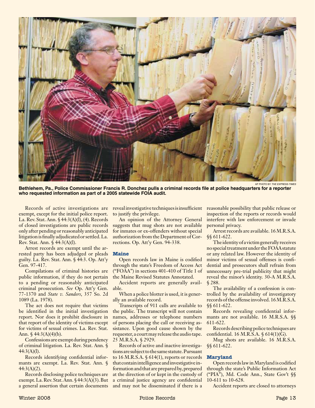

AP Photo by *The Express-Times*

**Bethlehem, Pa., Police Commissioner Francis R. Donchez pulls a criminal records file at police headquarters for a reporter who requested information as part of a 2005 statewide FOIA audit.**

Records of active investigations are exempt, except for the initial police report. La. Rev. Stat. Ann. § 44:3(A)(l), (4). Records of closed investigations are public records only after pending or reasonably anticipated litigation is finally adjudicated or settled. La. Rev. Stat. Ann. § 44:3(A)(l).

Arrest records are exempt until the arrested party has been adjudged or pleads guilty. La. Rev. Stat. Ann. § 44:3. Op. Att'y Gen. 97-417.

Compilations of criminal histories are public information, if they do not pertain to a pending or reasonably anticipated criminal prosecution. *See* Op. Att'y Gen. 77-1370 and *State v. Sanders*, 357 So. 2d 1089 (La. 1978).

The act does not require that victims be identified in the initial investigation report. Nor does it prohibit disclosure in that report of the identity of victims except for victims of sexual crimes. La. Rev. Stat. Ann.  $\frac{44:3(A)(4)(b)}{2}$ .

Confessions are exempt during pendency of criminal litigation. La. Rev. Stat. Ann. §  $44:3(A)(1)$ .

Records identifying confidential informants are exempt. La. Rev. Stat. Ann. §  $44:3(A)(2)$ .

Records disclosing police techniques are exempt. La. Rev. Stat. Ann. § 44:3(A)(3). But a general assertion that certain documents reveal investigative techniques is insufficient to justify the privilege.

An opinion of the Attorney General suggests that mug shots are not available for inmates or ex-offenders without special authorization from the Department of Corrections. Op. Att'y Gen. 94-338.

#### **Maine**

Open records law in Maine is codified through the state's Freedom of Access Act ("FOAA") in sections 401-410 of Title 1 of the Maine Revised Statutes Annotated.

Accident reports are generally available.

When a police blotter is used, it is generally an available record.

Transcripts of 911 calls are available to the public. The transcript will not contain names, addresses or telephone numbers of persons placing the call or receiving assistance. Upon good cause shown by the requester, a court may release the audio tape. 25 M.R.S.A. § 2929.

Records of active and inactive investigations are subject to the same statute. Pursuant to 16 M.R.S.A.  $\frac{614(1)}{20}$ , reports or records that contain intelligence and investigative information and that are prepared by, prepared at the direction of or kept in the custody of a criminal justice agency are confidential and may not be disseminated if there is a

reasonable possibility that public release or inspection of the reports or records would interfere with law enforcement or invade personal privacy.

Arrest records are available. 16 M.R.S.A. §§ 611-622.

The identity of a victim generally receives no special treatment under the FOAA statute or any related law. However the identity of minor victims of sexual offenses is confidential and prosecutors shall refrain from unnecessary pre-trial publicity that might reveal the minor's identity. 30-A M.R.S.A. § 288.

The availability of a confession is controlled by the availability of investigatory records of the offense involved. 16 M.R.S.A. §§ 611-622.

Records revealing confidential informants are not available. 16 M.R.S.A. §§ 611-622.

Records describing police techniques are confidential. 16 M.R.S.A. § 614(1)(G).

Mug shots are available. 16 M.R.S.A. §§ 611-622.

#### **Maryland**

Open records law in Maryland is codified through the state's Public Information Act ("PIA"), Md. Code Ann., State Gov't §§ 10-611 to 10-628.

Accident reports are closed to attorneys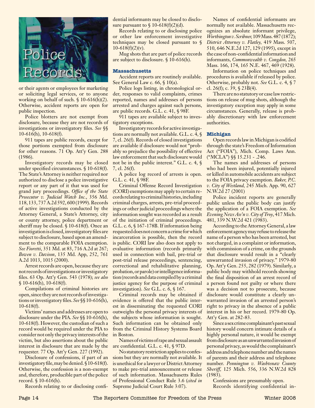

or their agents or employees for marketing or soliciting legal services, or to anyone working on behalf of such.  $\S$  10-616(h)(2). Otherwise, accident reports are open for public inspection.

Police blotters are not exempt from disclosure, because they are not records of investigations or investigatory files. *See* §§  $10-616(h)$ ,  $10-618(f)$ .

911 tapes are public records, except for those portions exempted from disclosure for other reasons. 71 Op. Att'y Gen. 288 (1986).

Investigatory records may be closed under specified circumstances. § 10-618(f). The State's Attorney is neither required nor authorized to disclose a police investigative report or any part of it that was used for grand jury proceedings. *Office of the State Prosecutor v. Judicial Watch Inc.*, 356 Md. 118, 133, 737 A.2d 592, 600 (1999). Records of active investigations conducted by the Attorney General, a State's Attorney, city or county attorney, police department or sheriff may be closed. § 10-618(f). Once an investigation is closed, investigatory files are subject to disclosure, based upon an amendment to the comparable FOIA exemption. *See Fioretti*, 351 Md. at 83, 716 A.2d at 267; *Bowen v. Davison*, 135 Md. App, 252, 761 A.2d 1013, 1015 (2000).

Arrest records are open, because they are not records of investigations or investigatory files. 63 Op. Att'y Gen. 543 (1978); *see also* § 10-616(h), 10-618(f).

Compilations of criminal histories are open, since they are not records of investigations or investigatory files. *See* §§ 10-616(h), 10-618(f).

Victims' names and addresses are open to disclosure under the PIA. *See* §§ 10-616(h), 10-618(f). However, the custodian of such a record would be required under the PIA to consider not only the privacy interests of the victim, but also assertions about the public interest in disclosure that are made by the requester. 77 Op. Att'y Gen. 227 (1992).

Disclosure of confessions, if part of an investigatory file, may be denied. § 10-618(f). Otherwise, the confession is a non-exempt and, therefore, producible part of the police record. § 10-616(h).

Records relating to or disclosing confi-

dential informants may be closed to disclosure pursuant to  $\frac{10-618(f)(2)(d)}{2}$ .

Records relating to or disclosing police or other law enforcement investigative techniques may be closed pursuant to §  $10-618(f)(2)(v)$ .

Mug shots that are part of police records are subject to disclosure. § 10-616(h).

#### **Massachusetts**

Accident reports are routinely available. See General Law c. 66, § 10(a).

Police logs listing, in chronological order, responses to valid complaints, crimes reported, names and addresses of persons arrested and charges against such persons, are public records. G.L. c. 41, § 98F.

911 tapes are available subject to investigatory exceptions.

Investigatory records for active investigations are normally not available. G.L. c. 4, § 7, cl. 26(f). Records of closed investigations are available if disclosure would not "probably so prejudice the possibility of effective law enforcement that such disclosure would not be in the public interest." G.L. c. 4,  $\oint$ 7, cl. 26(f).

A police log record of arrests is open. G.L. c. 41, § 98F.

Criminal Offense Record Investigation (CORI) exemptions may apply to certain records relating to criminal histories, including criminal charges, arrests, pre-trial proceedings or other judicial proceedings where the information sought was recorded as a result of the initiation of criminal proceedings. G.L. c. 6, § 167-178B. If information being requested does not concern a crime for which incarceration is possible, then the record is public. CORI law also does not apply to evaluative information (records primarily used in connection with bail, pre-trial or post-trial release proceedings, sentencing, correctional and rehabilitative planning, probation, or parole) or intelligence information (records and data compiled by a criminal justice agency for the purpose of criminal investigation). *See* G.L. c. 6, § 167.

Criminal records may be obtained if evidence is offered that the public interest in disseminating the requested CORI outweighs the personal privacy interests of the subjects whose information is sought. Such information can be obtained only from the Criminal History Systems Board in Boston.

Names of victims of rape and sexual assault are confidential. G.L. c. 41, § 97D.

No statutory restriction applies to confessions but they are normally not available. It is unethical for a lawyer or District Attorney to make pre-trial announcement or release of such information. Massachusetts Rules of Professional Conduct Rule 3.6 (*cited in* Supreme Judicial Court Rule 3:07).

Names of confidential informants are normally not available. Massachusetts recognizes an absolute informant privilege, *Worthington v. Scribner,* 109 Mass. 487 (1872); *District Attorney v. Flatley,* 419 Mass. 507, 510, 646 N.E.2d 127, 129 (1995), except in the case of non-confidential information and informants, *Commonwealth v. Congdon,* 265 Mass. 166, 174, 165 N.E. 467, 469 (1928).

Information on police techniques and procedures is available if released by police. Otherwise, probably not. *See* G.L. c. 4, § 7 cl. 26(f); c. 39, § 23B(4).

There are no statutory or case law restrictions on release of mug shots, although the investigatory exception may apply in some circumstances. Generally, release is probably discretionary with law enforcement authorities.

#### **Michigan**

Open records law in Michigan is codified through the state's Freedom of Information Act ("FOIA"), Mich. Comp. Laws Ann. ("MCLA") §§ 15.231 - .246.

The names and addresses of persons who had been injured, potentially injured or killed in automobile accidents are subject to the FOIA privacy exemption. *Baker, P.C. v. City of Westland,* 245 Mich. App. 90, 627 N.W.2d 27 (2001)

Police incident reports are generally public unless the public body can justify the application of a FOIA exemption. *See Evening News Ass'n v. City of Troy*, 417 Mich. 481, 339 N.W.2d 421 (1983).

According to the Attorney General, a law enforcement agency may refuse to release the name of a person who has been arrested, but not charged, in a complaint or information, with commission of a crime, on the grounds that disclosure would result in a "clearly unwarranted invasion of privacy." 1979-80 Op. Att'y Gen. 255, 282 (1979). Similarly, a public body may withhold records showing the final disposition of an arrest record of a person found not guilty or where there was a decision not to prosecute, because disclosure would constitute a clearly unwarranted invasion of an arrested person's right to privacy in the absence of a public interest in his or her record. 1979-80 Op. Att'y Gen. at 282-83.

Since a sex crime complainant's past sexual history would concern intimate details of a highly personal nature, it would be exempt from disclosure as an unwarranted invasion of personal privacy, as would the complainant's address and telephone number and the names of parents and their address and telephone number. *Pennington v. Washtenaw County Sheriff,* 125 Mich. 556, 336 N.W.2d 828 (1983).

Confessions are presumably open.

Records identifying confidential in-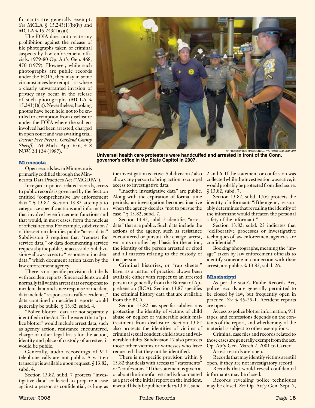formants are generally exempt. *See* MCLA § 15.243(1)(b)(iv) and  $MCLA \$  $15.243(1)(s)(i)$ .

The FOIA does not create any prohibition against the release of file photographs taken of criminal suspects by law enforcement officials. 1979-80 Op. Att'y Gen. 468, 470 (1979). However, while such photographs are public records under the FOIA, they may in some circumstances be exempt -- as where a clearly unwarranted invasion of privacy may occur in the release of such photographs (MCLA § 15.243(1)(a)). Nevertheless, booking photos have been held not to be entitled to exemption from disclosure under the FOIA where the subject involved had been arrested, charged in open court and was awaiting trial. *Detroit Free Press v. Oakland County Sheriff,* 164 Mich. App. 656, 418 N.W. 2d 124 (1987).

#### **Minnesota**

Open records law in Minnesota is primarily codified through the Minnesota Data Practices Act ("MGDPA").

In regard to police-related records, access to public records is governed by the Section entitled "comprehensive law enforcement data." § 13.82. Section 13.82 attempts to categorize specific actions and information that involve law enforcement functions and that would, in most cases, form the nucleus of official actions. For example, subdivision 2 of the section identifies public "arrest data." Subdivision 3 requires that "request for service data," or data documenting service requests by the public, be accessible. Subdivision 4 allows access to "response or incident data," which document action taken by the law enforcement agency.

There is no specific provision that deals with accident reports. Since accidents would normally fall within arrest data or response to incident data, and since response or incident data include "responses to traffic accidents," data contained on accident reports would generally be public. § 13.82, subd. 4.

"Police blotter" data are not separately identified in the Act. To the extent that a "police blotter" would include arrest data, such as agency action, resistance encountered, charge or other legal basis for the action, identity and place of custody of arrestee, it would be public.

Generally, audio recordings of 911 telephone calls are not public. A written transcript is available upon request. § 13.82, subd. 4.

Section 13.82, subd. 7 protects "investigative data" collected to prepare a case against a person as confidential, as long as the investigation is active. Subdivision 7 also allows any person to bring action to compel access to investigative data.

**governor's office in the State Capitol in 2007.**

"Inactive investigative data" are public. Along with the expiration of formal time periods, an investigation becomes inactive when the agency decides "not to pursue the case." § 13.82, subd. 7.

Section 13.82, subd. 2 identifies "arrest data" that are public. Such data include the actions of the agency, such as resistance encountered or pursuit, the charge, arrest, warrants or other legal basis for the action, the identity of the person arrested or cited and all matters relating to the custody of that person.

Criminal histories, or "rap sheets," have, as a matter of practice, always been available either with respect to an arrested person or generally from the Bureau of Apprehension (BCA). Section 13.87 specifies the criminal history data that are available from the BCA.

Section 13.82 has specific subdivisions protecting the identity of victims of child abuse or neglect or vulnerable adult maltreatment from disclosure. Section 13.82 also protects the identities of victims of criminal sexual conduct, child abuse and vulnerable adults. Subdivision 17 also protects those other victims or witnesses who have requested that they not be identified.

There is no specific provision within  $\oint$ 13.82 that deals with access to "statements" or "confessions." If the statement is given at or about the time of arrest and is documented as a part of the initial report on the incident, it would likely be public under § 13.82, subd. 2 and 6. If the statement or confession was collected while the investigation was active, it would probably be protected from disclosure. § 13.82, subd. 7.

Section 13.82, subd. 17(c) protects the identity of informants "if the agency reasonably determines that revealing the identify of the informant would threaten the personal safety of the informant."

Section 13.82, subd. 25 indicates that "deliberative processes or investigative techniques of law enforcement agencies are confidential."

Booking photographs, meaning the "image" taken by law enforcement officials to identify someone in connection with their arrest, are public. § 13.82, subd. 26.

#### **Mississippi**

As per the state's Public Records Act, police records are generally permitted to be closed by law, but frequently open in practice. *See* § 45-29-1. Accident reports are open.

Access to police blotter information, 911 tapes, and confessions depends on the contents of the report, and whether any of the material is subject to other exemptions.

Criminal case files and records related to those cases are generally exempt from the act. Op. Att'y Gen. March 2, 2001 to Carter.

Arrest records are open.

Records that may identify victims are still open, if they are not investigatory record.

Records that would reveal confidential informants may be closed.

Records revealing police techniques may be closed. *See* Op. Att'y Gen. Sept. 7,

AP Photo BY Bob MacDonnell, *The Hartford Courant* **Universal health care protesters were handcuffed and arrested in front of the Conn.** 

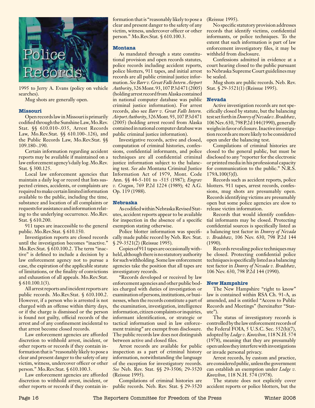

1995 to Jerry A. Evans (policy on vehicle searches).

Mug shots are generally open.

#### **Missouri**

Open records law in Missouri is primarily codified through the Sunshine Law, Mo.Rev. Stat. §§ 610.010-.035, Arrest Records Law, Mo.Rev.Stat. §§ 610.100-.126), and the Public Records Law, Mo.Rev.Stat. §§ 109.180-.190.

Certain information regarding accident reports may be available if maintained on a law enforcement agency's daily log. Mo.Rev. Stat. § 300.125.

Local law enforcement agencies that maintain a daily log or record that lists suspected crimes, accidents, or complaints are required to make certain limited information available to the public, including the time, substance and location of all complaints or requests for assistance and information relating to the underlying occurrence. Mo.Rev. Stat. § 610.200.

911 tapes are inaccessible to the general public. Mo.Rev.Stat. § 610.150.

Investigation reports are closed records until the investigation becomes "inactive." Mo.Rev.Stat. § 610.100.2. The term "inactive" is defined to include a decision by a law enforcement agency not to pursue a case, the expiration of the applicable statute of limitations, or the finality of convictions and exhaustion of all appeals. Mo.Rev.Stat. § 610.100.1(3).

All arrest reports and incident reports are public records. Mo.Rev.Stat. § 610.100.2. However, if a person who is arrested is not charged with an offense within thirty days, or if the charge is dismissed or the person is found not guilty, official records of the arrest and of any confinement incidental to that arrest become closed records.

Law enforcement agencies are afforded discretion to withhold arrest, incident, or other reports or records if they contain information that is "reasonably likely to pose a clear and present danger to the safety of any victim, witness, undercover officer or other person." Mo.Rev.Stat. § 610.100.3.

Law enforcement agencies are afforded discretion to withhold arrest, incident, or other reports or records if they contain in-

formation that is "reasonably likely to pose a (Reissue 1995). clear and present danger to the safety of any victim, witness, undercover officer or other person." Mo.Rev.Stat. § 610.100.3.

#### **Montana**

As mandated through a state constitutional provision and open records statutes, police records including accident reports, police blotters, 911 tapes, and initial arrest records are all public criminal justice information. *See Barr v. Great Falls Intern. Airport Authority*, 326 Mont. 93, 107 P.3d 471 (2005) (holding arrest record from Alaska contained in national computer database was public criminal justice information). For arrest records, also see *Barr v. Great Falls Intern. Airport Authority*, 326 Mont. 93, 107 P.3d 471 (2005) (holding arrest record from Alaska contained in national computer database was public criminal justice information).

Investigative records, active and closed, computation of criminal histories, confessions, confidential informants, and police techniques are all confidential criminal justice information subject to the balancing test. *See also* Montana Criminal Justice Information Act of 1979, Mont. Code Ann. §§ 44-5-101 to -515 (1987); *Engrav v. Cragun*, 769 P.2d 1224 (1989); 42 A.G. Op. 119 (1988).

### **Nebraska**

As codified within Nebraska Revised Statutes, accident reports appear to be available for inspection in the absence of a specific exemption stating otherwise.

Police blotter information was specifically made public record by Neb. Rev. Stat. § 29-3521(2) (Reissue 1995).

Copies of 911 tapes are occasionally withheld, although there is no statutory authority for such withholding. Some law enforcement agencies take the position that all tapes are investigatory records.

"Records developed or received by law enforcement agencies and other public bodies charged with duties of investigation or examination of persons, institutions, or businesses, when the records constitute a part of the examination, investigation, intelligence information, citizen complaints or inquiries, informant identification, or strategic or tactical information used in law enforcement training" are exempt from disclosure. The public records law does not distinguish between active and closed files.

Arrest records are available for public inspection as a part of criminal history information, notwithstanding the language of the exception for investigatory records. *See* Neb. Rev. Stat. §§ 29-3506; 29-3520 (Reissue 1995).

Compilations of criminal histories are public records. Neb. Rev. Stat. § 29-3520

No specific statutory provision addresses records that identify victims, confidential informants, or police techniques. To the extent that such information is part of law enforcement investigatory files, it may be withheld from disclosure.

Confessions admitted in evidence at a court hearing closed to the public pursuant to Nebraska Supreme Court guidelines may be sealed.

Mug shots are public records. Neb. Rev. Stat. § 29-3521(1) (Reissue 1995).

#### **Nevada**

Active investigation records are not specifically closed by statute, but the balancing test set forth in *Donrey of Nevada v. Bradshaw*, 106 Nev. 630, 798 P.2d 144 (1990), generally weighs in favor of closure. Inactive investigation records are more likely to be considered open under the balancing test.

Compilations of criminal histories are closed to the general public, but must be disclosed to any "reporter for the electronic or printed media in his professional capacity for communication to the public." N.R.S. 179A.100(5)(l).

Records such as accident reports, police blotters. 911 tapes, arrest records, confessions, mug shots are presumably open. Records identifying victims are presumably open but some police agencies are slow to release victim information.

Records that would identify confidential informants may be closed. Protecting confidential sources is specifically listed as a balancing test factor in *Donrey of Nevada v. Bradshaw*, 106 Nev. 630, 798 P.2d 144 (1990).

Records revealing police techniques may be closed. Protecting confidential police techniques is specifically listed as a balancing test factor in *Donrey of Nevada v. Bradshaw*, 106 Nev. 630, 798 P.2d 144 (1990).

#### **New Hampshire**

The New Hampshire "right to know" law is contained within RSA Ch. 91-A, as amended, and is entitled "Access to Public Records and Meetings" (hereinafter "Statute").

The status of investigatory records is controlled by the law enforcement records of the Federal FOIA, 5 U.S.C. Sec. 552(b)(7), adopted by *Lodge v. Knowlton*, 118 N.H. 574 (1978), meaning that they are presumably open unless they interfere with investigations or invade personal privacy.

Arrest records, by custom and practice, are considered public, unless the government can establish an exemption under *Lodge v. Knowlton*, 118 N.H. 574 (1978).

The statute does not explicitly cover accident reports or police blotters, but the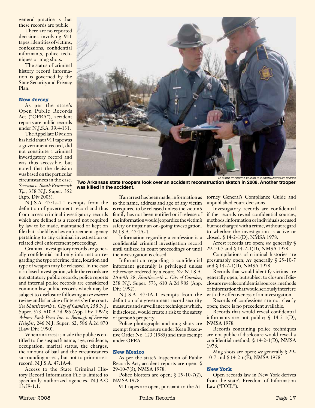general practice is that these records are public.

There are no reported decisions involving 911 tapes, identities of victims, confessions, confidential informants, police techniques or mug shots.

The status of criminal history record information is governed by the State Security and Privacy Plan.

#### **New Jersey**

As per the state's Open Public Records Act ("OPRA"), accident reports are public records under N.J.S.A. 39:4-131.

The Appellate Division has held that a 911 tape was a government record, did not constitute a criminal investigatory record and was thus accessible, but noted that the decision was based on the particular circumstances in the case. *Serrano v. South Brunswick Tp.*, 358 N.J. Super*.* 352 (App. Div 2003).

N.J.S.A. 47:1a-1.1 exempts from the definition of government record and thus from access criminal investigatory records which are defined as a record not required by law to be made, maintained or kept on file that is held by a law enforcement agency pertaining to any criminal investigation or related civil enforcement proceeding.

**was killed in the accident.**

Criminal investigatory records are generally confidential and only information regarding the type of crime, time, location and type of weapon may be released. In the case of a closed investigation, while the records are not statutory public records, police reports and internal police records are considered common law public records which may be subject to disclosure following an *in camera* review and balancing of interests by the court. *See Shuttleworth v. City of Camden*, 258 N.J. Super*.* 573, 610 A.2d 985 (App. Div. 1992); *Asbury Park Press Inc. v. Borough of Seaside Heights*, 246 N.J. Super*.* 62, 586 A.2d 870 (Law Div. 1990).

When an arrest is made the public is entitled to the suspect's name, age, residence, occupation, marital status, the charges, the amount of bail and the circumstances surrounding arrest, but not to prior arrest record. N.J.S.A*.* 47:1A-4.

Access to the State Criminal History Record Information File is limited to specifically authorized agencies. N.J.A.C 13:59-1.1.



**Two Arkansas state troopers look over an accident reconstruction sketch in 2008. Another trooper** 

Information regarding a confession is a confidential criminal investigation record until utilized in court proceedings or until the investigation is closed.

Information regarding a confidential informant generally is privileged unless otherwise ordered by a court. *See* N.J.S.A. 2A:64A-28; *Shuttleworth v. City of Camden*, 258 N.J. Super. 573, 610 A.2d 985 (App. Div. 1992).

N.J.S.A. 47:1A-1 exempts from the definition of a government record security measures and surveillance techniques which, if disclosed, would create a risk to the safety of person's property.

Police photographs and mug shots are exempt from disclosure under Kean Executive Order No. 123 (1985) and thus exempt under OPRA.

#### **New Mexico**

As per the state's Inspection of Public Records Act, accident reports are open. § 29-10-7(5), NMSA 1978.

Police blotters are open; § 29-10-7(2), NMSA 1978.

911 tapes are open, pursuant to the At-Law ("FOIL").

torney General's Compliance Guide and unpublished court decisions.

AP Photo by Corey S. Krasko, *The Southwest Times Record*

Investigatory records are confidential if the records reveal confidential sources, methods, information or individuals accused but not charged with a crime, without regard to whether the investigation is active or closed. § 14-2-1(D), NMSA 1978.

Arrest records are open; *see* generally § 29-10-7 and § 14-2-1(D), NMSA 1978.

Compilations of criminal histories are presumably open; *see* generally § 29-10-7 and § 14-2-1(D), NMSA 1978.

Records that would identify victims are generally open, but subject to closure if disclosure reveals confidential sources, methods or information that would seriously interfere with the effectiveness of an investigation.

Records of confessions are not clearly open; there is no precedent available.

Records that would reveal confidential informants are not public;  $\oint$  14-2-1(D), NMSA 1978.

Records containing police techniques are not public if disclosure would reveal a confidential method; § 14-2-1(D), NMSA 1978.

Mug shots are open; *see* generally § 29- 10-7 and § 14-2-6(E), NMSA 1978.

#### **New York**

Open records law in New York derives from the state's Freedom of Information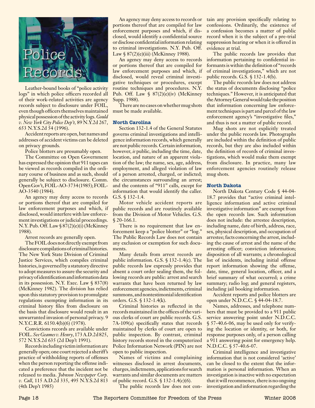

Leather-bound books of "police activity logs" in which police officers recorded all of their work-related activities are agency records subject to disclosure under FOIL, even though officers themselves maintained physical possession of the activity logs. *Gould v. New York City Police Dep't,* 89 N.Y.2d 267, 653 N.Y.S.2d 54 (1996).

Accident reports are open, but names and addresses of accident victims can be deleted on privacy grounds.

Police blotters are presumably open.

The Committee on Open Government has expressed the opinion that 911 tapes can be viewed as records compiled in the ordinary course of business and as such, should generally be subject to disclosure. Comm. Open Gov't, FOIL-AO-3734 (1985); FOIL-AO-3540 (1984).

An agency may deny access to records or portions thereof that are compiled for law enforcement purposes and which, if disclosed, would interfere with law enforcement investigations or judicial proceedings. N.Y. Pub. Off. Law § 87(2)(e)(i) (McKinney 1988).

Arrest records are generally open.

The FOIL does not directly exempt from disclosure compilations of criminal histories. The New York State Division of Criminal Justice Services, which compiles criminal histories, is governed by a statutory directive to adopt measures to assure the security and privacy of identification and information data in its possession. N.Y. Exec. Law § 837(8) (McKinney 1982). The division has relied upon this statutory provision to promulgate regulations exempting information in its criminal history files from disclosure on the basis that disclosure would result in an unwarranted invasion of personal privacy. 9 N.Y.C.R.R. 6150.4(b)(6) (1978).

Convictions records are available under FOIL. *See Geames v. Henry*, 173 A.D.2d 825, 572 N.Y.S.2d 635 (2d Dep't 1991).

Records including victim information are generally open; one court rejected a sheriff's practice of withholding reports of offenses when the person reporting the offense indicated a preference that the incident not be released to media. *Johnson Newspaper Corp. v. Call*, 115 A.D.2d 335, 495 N.Y.S.2d 813 (4th Dep't 1985)

portions thereof that are compiled for law enforcement purposes and which, if disclosed, would identify a confidential source or disclose confidential information relating to criminal investigations. N.Y. Pub. Off. Law  $\S 87(2)$ (e)(iii) (McKinney 1988).

An agency may deny access to records or portions thereof that are compiled for law enforcement purposes and which, if disclosed, would reveal criminal investigative techniques or procedures, except routine techniques and procedures. N.Y. Pub. Off. Law § 87(2)(e)(iv) (McKinney Supp. 1988).

There are no cases on whether mug shots must be made available.

#### **North Carolina**

Section 132-1.4 of the General Statutes governs criminal investigations and intelligence information records, which generally are not public records. Certain information, however, *is* public, including the time, date, location, and nature of an apparent violation of the law; the name, sex, age, address, employment, and alleged violation of law of a person arrested, charged, or indicted; the circumstances surrounding an arrest; and the contents of "911" calls, except for information that would identify the caller. G.S. § 132-1.4.

Motor vehicle accident reports are public records and are routinely available from the Division of Motor Vehicles. G.S. § 20-166.1.

There is no requirement that law enforcement keep a "police blotter" or "log." The Public Records Law does not contain any exclusion or exemption for such documents.

Many details from arrest records are public information. G.S. § 132-1.4(c). The public records law expressly provides that absent a court order sealing them, the following records are public: arrest and search warrants that have been returned by law enforcement agencies, indictments, criminal summons, and nontestimonial identification orders. G.S. § 132-1.4(k).

Criminal histories as reflected in the records maintained in the offices of the various clerks of court are public records. G.S. 7A-109(a) specifically states that records maintained by clerks of court are open to public inspection. By contrast, criminal history records stored in the computerized Police Information Network (PIN) are not open to public inspection.

Names of victims and complaining witnesses disclosed in arrest documents, charges, indictments, applications for search warrants and similar documents are matters of public record. G.S. § 132-1.4(c)(6).

The public records law does not con-

An agency may deny access to records or tain any provision specifically relating to confessions. Ordinarily, the existence of a confession becomes a matter of public record when it is the subject of a pre-trial suppression hearing or when it is offered in evidence at trial.

> The public records law provides that information pertaining to confidential informants is within the definition of "records of criminal investigations," which are not public records. G.S. § 132-1.4(b).

> The public records law does not address the status of documents disclosing "police techniques." However, it is anticipated that the Attorney General would take the position that information concerning law enforcement techniques is part and parcel of the law enforcement agency's "investigative files," and thus is not a matter of public record.

> Mug shots are not explicitly treated under the public records law. Photographs are included within the definition of public records, but they are also included within the definition of records of criminal investigations, which would make them exempt from disclosure. In practice, many law enforcement agencies routinely release mug shots.

#### **North Dakota**

North Dakota Century Code § 44-04- 18.7 provides that "active criminal intelligence information and active criminal investigative information" are exempt from the open records law. Such information does not include: the arrestee description, including name, date of birth, address, race, sex, physical description, and occupation of arrestee; facts concerning the arrest, including the cause of arrest and the name of the arresting officer; conviction information; disposition of all warrants; a chronological list of incidents, including initial offense report information showing the offense, date, time, general location, officer, and a brief summary of what occurred; a crime summary; radio log; and general registers, including jail booking information.

Accident reports and police blotters are open under N.D.C.C. § 44-04-18.7.

Names, addresses, and telephone numbers that must be provided to a 911 public service answering point under N.D.C.C. § 57-40.6-06, may be used only for verifying the location or identity, or both, for response purposes only, of a person calling a 911 answering point for emergency help. N.D.C.C. § 57-40.6-07.

Criminal intelligence and investigative information that is not considered 'active' can be closed to the extent that the information is personal information. When an investigation is inactive with no expectation that it will recommence, there is no ongoing investigation and information regarding the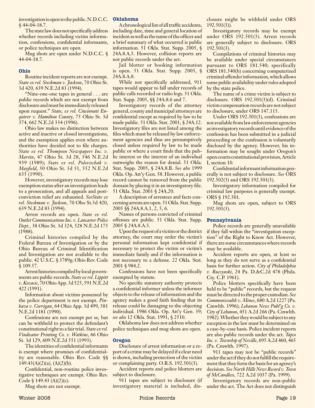investigation is open to the public. N.D.C.C. **Oklahoma** § 44-04-18.7.

The state law does not specifically address whether records including victim information, confessions, confidential informants, or police techniques are open.

Mug shots are open under N.D.C.C. § 44-04-18.7.

#### **Ohio**

Routine incident reports are not exempt. *State ex rel. Steckman v. Jackson*, 70 Ohio St. 3d 420, 639 N.E.2d 83 (1994).

"Nine-one-one tapes in general . . . are public records which are not exempt from disclosure and must be immediately released upon request." *State, ex rel. Cincinnati Enquirer v. Hamilton County*, 75 Ohio St. 3d 374, 662 N.E.2d 334 (1996).

Ohio law makes no distinction between active and inactive or closed investigations, and the exemption applies even where authorities have decided not to file charges. *State ex rel. Thompson Newspapers Inc. v. Martin*, 47 Ohio St. 3d 28, 546 N.E.2d 939 (1989); *State ex rel. Polovischak v. Mayfield*, 50 Ohio St. 3d 51, 552 N.E.2d 635 (1990).

However, investigatory records may lose exemption status after an investigation leads to a prosecution, and all appeals and postconviction relief are exhausted. *SeeState ex rel. Steckman v. Jackson*, 70 Oho St.3d 420, 639 N.E.2d 83 (1994).

Arrest records are open. *State ex rel. Outlet Communications Inc. v. Lancaster Police Dept.*, 38 Ohio St. 3d 324, 528 N.E.2d 175 (1988).

Criminal histories compiled by the Federal Bureau of Investigation or by the Ohio Bureau of Criminal Identification and Investigation are not available to the public. 42 U.S.C. § 3789g; Ohio Rev. Code § 109.57.

Arrest histories compiled by local governments are public records. *State ex rel. Lippitt v. Kovacic*, 70 Ohio App. 3d 525, 591 N.E.2d 422 (1991).

Information about victims possessed by the police department is not exempt. *Pinkava v. Corrigan*, 64 Ohio App. 3d 499, 581 N.E.2d 1181 (1990).

Confessions are not exempt per se, but can be withheld to protect the defendant's constitutional right to a fair trial. *State ex rel. Vindicator Printing Co. v. Watkins*, 66 Ohio St. 3d 129, 609 N.E.2d 551 (1993).

The identities of confidential informants is exempt where promises of confidentiality are reasonable. Ohio Rev. Code §§  $149.43(A)(2)(a)$ , (A)(2)(b).

Confidential, non-routine police investigative techniques are exempt. Ohio Rev. Code  $\{149.43 \ (A)(2)(c)\}.$ 

Mug shots are not exempt.

A chronological list of all traffic accidents, including date, time and general location of incident as well as the name of the officer and a brief summary of what occurred is public information. 51 Okla. Stat. Supp. 2005, § 24A.8.A.5. However, collision reports are not public records under the act.

Jail blotter or booking information is open. 51 Okla. Stat. Supp. 2005, § 24A.8.A.8.

While not specifically addressed, 911 tapes would appear to fall under records of public calls recorded or radio logs. 51 Okla. Stat. Supp. 2005, §§ 24A.8.6 and 7.

Investigatory records of the attorney general, county and municipal attorneys are confidential except as required by law to be made public. 51 Okla. Stat. 2001, § 24A.12. Investigatory files are not listed among the files which must be released by law enforcement agencies and thus are presumptively closed unless required by law to be made public or where a court finds that the public interest or the interest of an individual outweighs the reason for denial. 51 Okla. Stat. Supp. 2005, § 24A.8.B. *See also* 1999 Okla. Op. Att'y Gen. 58. However, a public record cannot be removed from the public domain by placing it in an investigatory file. 51 Okla. Stat. 2001 § 24A.20.

A description of arrestees and facts concerning arrests are open. 51 Okla. Stat. Supp. 2005 §§ 24A.8.A.1, 2, 5, 6.

Names of persons convicted of criminal offenses are public. 51 Okla. Stat. Supp. 2005 § 24A.8.A.3.

Upon the request of a victim or the district attorney, the court may order the victim's personal information kept confidential if necessary to protect the victim or victim's immediate family and if the information is not necessary to a defense. 22 Okla. Stat. 2001 § 984.2.

Confessions have not been specifically exempted by statute.

No specific statutory authority protects a confidential informer unless the informer objects to the release of information and the agency makes a good faith finding that its release could be damaging to the objecting individual. 1986 Okla. Op. Att'y Gen. 39; *see also* 12 Okla. Stat. 1991, § 2510.

Oklahoma law does not address whether police techniques and mug shots are open.

#### **Oregon**

Disclosure of arrest information or a report of a crime may be delayed if a clear need is shown, including protection of the victim or complaining party. O.R.S. 192.501(3).

Accident reports and police blotters are subject to disclosure.

911 tapes are subject to disclosure (if investigatory material is included, dis-

closure might be withheld under ORS 192.501(3)).

Investigatory records may be exempt under ORS 192.501(3). Arrest records are generally subject to disclosure. ORS 192.501(3).

Compilations of criminal histories may be available under special circumstances pursuant to ORS 181.540; specifically ORS 181.540(b) concerning computerized criminal offender information, which allows some public availability under rules adopted by the state police.

The name of a crime victim is subject to disclosure. ORS 192.501(3)(d). Criminal victim compensation records are not subject to disclosure, under ORS 147.115.

Under ORS 192.501(3), confessions are not available from law enforcement agencies as investigatory records until evidence of the confession has been submitted in a judicial proceeding or the confession is voluntarily disclosed by the agency. However, his information may be sought under Oregon's open courts constitutional provision, Article I, section 10.

Confidential informant information generally is not subject to disclosure. *See* ORS 192.502(3) and ORS 192.501(3).

Investigatory information compiled for criminal law purposes is generally exempt. ORS § 192.501.

Mug shots are open, subject to ORS 192.501(3).

#### **Pennsylvania**

Police records are generally unavailable if they fall within the "investigation exception" of the Right to Know Act. However, there are some circumstances where records may be available.

Accident reports are open, at least so long as they do not serve as a confidential basis for further action. *City of Philadelphia v. Ruczynski*, 24 Pa. D.&C.2d 478 (Phila. Cty. C.P. 1961).

Police blotters specifically have been held to be "public" records, but the request must be directed to the proper custodian. *See Commonwealth v. Mines*, 680 A.2d 1227 (Pa. Cmwlth. 1996); *Lebanon News Publ'g Co. v. City of Lebanon*, 451 A.2d 266 (Pa. Cmwlth. 1982). Whether they would be subject to any exception in the law must be determined on a case-by-case basis. Police incident reports are also public records under the act. *Tapco Inc. v. Township of Neville*, 695 A.2d 460, 465 (Pa. Cmwlth. 1997).

911 tapes may not be "public records" under the act if they do not fulfill the requirement that they form the basis for an agency's decision. *See North Hills News Record v. Town of McCandless,* 722 A.2d 1037 (Pa. 1999).

Investigatory records are non-public under the act. The Act does not distinguish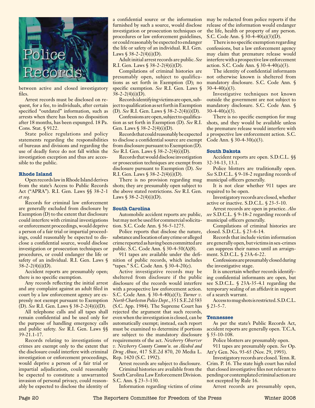

between active and closed investigatory files.

Arrest records must be disclosed on request, for a fee, to individuals, after certain specified "outdated" information, such as arrests when there has been no disposition after 18 months, has been expunged. 18 Pa. Cons. Stat. § 9122.

State police regulations and policy statements regarding the responsibilities of bureaus and divisions and regarding the use of deadly force do not fall within the investigation exception and thus are accessible to the public.

#### **Rhode Island**

Open records law in Rhode Island derives from the state's Access to Public Records Act ("APRA"). R.I. Gen. Laws §§ 38-2-1 *et seq.*

Records for criminal law enforcement are generally excluded from disclosure by Exemption (D) to the extent that disclosure could interfere with criminal investigations or enforcement proceedings, would deprive a person of a fair trial or impartial proceedings, could reasonably be expected to disclose a confidential source, would disclose investigation or prosecution techniques or procedures, or could endanger the life or safety of an individual. R.I. Gen. Laws §  $38 - 2 - 2(4)(i)(D)$ .

Accident reports are presumably open; there is no specific exemption.

Any records reflecting the initial arrest and any complaint against an adult filed in court by a law enforcement agency are expressly not exempt pursuant to Exemption (D). *See* R.I. Gen. Laws § 38-2-2(4)(i)(D).

All telephone calls and all tapes shall remain confidential and be used only for the purpose of handling emergency calls and public safety. *See* R.I. Gen. Laws §§ 39-21.1-17.

Records relating to investigations of crimes are exempt only to the extent that the disclosure could interfere with criminal investigation or enforcement proceedings, would deprive a person of a fair trial or impartial adjudication, could reasonably be expected to constitute a unwarranted invasion of personal privacy, could reasonably be expected to disclose the identity of

a confidential source or the information may be redacted from police reports if the furnished by such a source, would disclose investigation or prosecution techniques or procedures or law enforcement guidelines, or could reasonably be expected to endanger the life or safety of an individual. R.I. Gen. Laws  $$38-2-2(4)(i)(D)$ .

Adult initial arrest records are public. *See* R.I. Gen. Laws § 38-2-2(4)(i)(D).

Compilations of criminal histories are presumably open, subject to qualifications as set forth in Exemption (D); no specific exemption. *See* R.I. Gen. Laws §  $38-2-2(4)(i)(D)$ .

Records identifying victims are open, subject to qualification as set forth in Exemption (D). *See* R.I. Gen. Laws § 38-2-2(4)(i)(D).

Confessions are open, subject to qualification as set forth in Exemption (D). *See* R.I. Gen. Laws  $$ 38-2-2(4)(i)(D)$ .

Records that could reasonably be expected to disclose a confidential source are exempt from disclosure pursuant to Exemption (D). *See* R.I. Gen. Laws § 38-2-2(4)(i)(D).

Records that would disclose investigation or prosecution techniques are exempt from disclosure pursuant to Exemption (D). *See* R.I. Gen. Laws  $$38-2-2(4)(i)(D)$ .

There is no provision regarding mug shots; they are presumably open subject to the above stated restrictions. *See* R.I. Gen. required to be open. Laws  $$38-2-2(4)(i)(D)$ .

#### **South Carolina**

Automobile accident reports are public, but may not be used for commercial solicitation. S.C. Code Ann. § 56-5-1275.

Police reports that disclose the nature, substance and location of any crime or alleged crime reported as having been committed are public. S.C. Code Ann. § 30-4-50(A)(8).

911 tapes are available under the definition of public records, which includes "tapes." S.C. Code Ann. § 30-4-20(c).

Active investigative records may be sheltered from disclosure if the public disclosure of the records would interfere with a prospective law enforcement action. S.C. Code Ann. § 30-4-40(a)(3); *Turner v. North Charleston Police Dept.*, 351 S.E.2d 583 (S.C. App. 1984). The Supreme Court has rejected the argument that such records, even when the investigation is closed, can be automatically exempt; instead, each report must be examined to determine if portions are subject to the mandatory disclosure requirements of the act. *Newberry Observer v. Newberry County Comm'n. on Alcohol and Drug Abuse*, 417 S.E.2d 870, 20 Media L. Rep. 1420 (S.C. 1992).

Arrest records are subject to disclosure. Criminal histories are available from the South Carolina Law Enforcement Division. S.C. Ann. § 23-3-130.

Information regarding victims of crime

release of the information would endanger the life, health or property of any person. S.C. Code Ann. § 30-4-40(a)(3)(D).

There is no specific exemption regarding confessions, but a law enforcement agency may claim that premature release would interfere with a prospective law enforcement action. S.C. Code Ann. § 30-4-40(a)(3).

The identity of confidential informants not otherwise known is sheltered from mandatory disclosure. S.C. Code Ann. §  $30-4-40(a)(3)$ .

Investigative techniques not known outside the government are not subject to mandatory disclosure. S.C. Code Ann. §  $30-4-40(a)(3)$ .

There is no specific exemption for mug shots, and they would be available unless the premature release would interfere with a prospective law enforcement action. S.C. Code Ann.  $\frac{2}{30-4-30(a)(3)}$ .

#### **South Dakota**

Accident reports are open. S.D.C.L. §§ 32-34-13, 13.1.

Police blotters are traditionally open. *See* S.D.C.L. § 9-18-2 regarding records of municipal officers generally.

It is not clear whether 911 tapes are

Investigatory records are closed, whether active or inactive. S.D.C.L. § 23-5-10.

Arrest records are open in practice. *Also see* S.D.C.L. § 9-18-2 regarding records of municipal officers generally.

Compilations of criminal histories are closed. S.D.C.L. § 23-6-14.

Records that include victim information are generally open, but victims in sex-crimes can suppress their names until an arraignment. S.D.C.L. § 23A-6-22.

Confessions are presumably closed during the investigative stage.

It is uncertain whether records identifying confidential informants are open, but see S.D.C.L. § 23A-35-4.1 regarding the temporary sealing of an affidavit in support of a search warrant.

Access to mug shots is restricted. S.D.C.L.  $$23-5-7.$ 

#### **Tennessee**

As per the state's Public Records Act, accident reports are generally open. T.C.A. § 55-10-108.

Police blotters are presumably open.

911 tapes are presumably open. *See* Op. Att'y Gen. No. 93-65 (Nov. 29, 1993).

Investigatory records are closed. Tenn. R. Crim. P. 16. The state high court has ruled that closed investigative files not relevant to pending or contemplated criminal action are not excepted by Rule 16.

Arrest records are presumably open,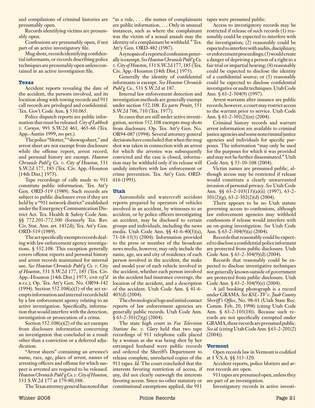presumably open.

Records identifying victims are presumably open.

Confessions are presumably open, if not part of an active investigatory file.

Mug shots, records identifying confidential informants, or records describing police techniques are presumably open unless contained in an active investigation file.

#### **Texas**

Accident reports revealing the date of the accident, the persons involved, and its location along with towing records and 911 call records are privileged and confidential. Tex. Gov't Code Ann. § 550.065.

Police dispatch reports are public information that must be released. *City of Lubbock v. Cornyn*, 993 S.W.2d 461, 465-66 (Tex. App.-Austin 1999, no pet.).

The police "blotter," "showup sheet," and arrest sheet are not exempt from disclosure while the offense report, arrest record, and personal history are exempt. *Houston Chronicle Publ'g Co. v. City of Houston*, 531 S.W.2d 177, 185 (Tex. Civ. App.-Houston [14th Dist.] 1975).

Tape recordings of calls made to 911 constitute public information. Tex. Att'y Gen. ORD-519 (1989). Such records are subject to public disclosure even if they are held by a "911 network district" established under the Emergency Communication District Act. Tex. Health & Safety Code Ann. §§ 772.201-772.300 (formerly Tex. Rev. Civ. Stat. Ann. art. 1432d); Tex. Att'y Gen. ORD-519 (1989).

The act specifically exempts records dealing with law enforcement agency investigations. § 552.108. This exception generally covers offense reports and personal history and arrest records maintained for internal use. *See Houston Chronicle Publ'g Co. v. City of Houston*, 531 S.W.2d 177, 185 (Tex. Civ. App.-Houston [14th Dist.] 1975, *writ ref'd n.r.e.*); Op. Tex. Att'y Gen. No. OR94-142 (1994). Section 552.108(a)(1) of the act exempts information and internal records held by a law enforcement agency relating to an active investigation. Specifically, information that would interfere with the detection, investigation or prosecution of a crime.

Section 552.108(a)(2) of the act exempts from disclosure information concerning an investigation that concluded in a result other than a conviction or a deferred adjudication.

"Arrest sheets" containing an arrestee's name, race, age, place of arrest, names of arresting officers and offense for which suspect is arrested are required to be released. *Houston Chronicle Publ'g Co. v. City of Houston*, 531 S.W.2d 177 at 179-80,188.

The Texas attorney general has noted that

and compilations of criminal histories are "as a rule, ... the names of complainants tapes were presumed public. are public information. . . . Only in unusual instances, such as where the complainant was the victim of a sexual assault may the identity of a complainant be withheld." Tex. Att'y Gen. ORD-482 (1987).

> A synopsis of a reported confession generally is exempt. *See Houston Chronicle Publ'g Co. v. City of Houston*, 531 S.W.2d 177, 185 (Tex. Civ. App.-Houston [14th Dist.] 1975).

> Generally the identity of confidential informants is exempt. *See Houston Chronicle Publ'g Co.,* 531 S.W.2d at 187.

> Internal law enforcement detection and investigation methods are generally exempt under section 552.108. *Ex parte Pruitt*, 551 S.W.2d 706, 710 (Tex. 1977).

> In cases that are still under active investigation, section 552.108 exempts mug shots from disclosure. Op. Tex. Att'y Gen. No. OR94-087 (1994). Several attorney general decisions have concluded that when the mug shot was taken in connection with an arrest for which the arrestee was subsequently convicted and the case is closed, information may be withheld only if its release will unduly interfere with law enforcement or crime prevention. Tex. Att'y Gen. ORD-616 (1993).

#### **Utah**

Automobile and watercraft accident reports prepared by operators of vehicles involved in an accident, by witnesses to an accident, or by police officers investigating an accident, may be disclosed to certain groups and individuals, including the news media. Utah Code Ann. §§ 41-6-40(3)(a), 73-18-13(3) (2004). Information provided to the press or member of the broadcast news media, however, may only include the name, age, sex and city of residence of each person involved in the accident, the make and model year of each vehicle involved in the accident, whether each person involved in the accident had insurance coverage, the location of the accident, and a description of the accident. Utah Code Ann. § 41-6- 403(d) (2004).

The chronological logs and initial contact reports of law enforcement agencies are generally public records. Utah Code Ann.  $§ 63-2-301(2)(g) (2004).$ 

The state high court in *Fox Television Stations Inc. v. Clary* held that two tape recordings of 911 telephone calls placed by a woman as she was being shot by her estranged husband were public records and ordered the Sheriff's Department to release complete, unredacted copies of the 911 tapes. *Id.* The court concluded that the interests favoring restriction of access, if any, did not clearly outweigh the interests favoring access. Since no other statutory or constitutional exemptions applied, the 911

Access to investigatory records may be restricted if release of such records (1) reasonably could be expected to interfere with the investigation; (2) reasonably could be expected to interfere with audits, disciplinary, or enforcement proceedings; (3) would create a danger of depriving a person of a right to a fair trial or impartial hearing; (4) reasonably could be expected to disclose the identity of a confidential source; or (5) reasonably could be expected to disclose confidential investigative or audit techniques. Utah Code Ann. § 63-2-304(9) (1997).

Arrest warrants after issuance are public records; however, a court may restrict access to the warrant prior to service. Utah Code Ann. § 63-2-301(2)(m) (2004).

Criminal history records and warrant arrest information are available to criminal justice agencies and some noncriminal justice agencies and individuals for specific purposes. The information "may only be used for the purposes for which it was provided and may not be further disseminated." Utah Code Ann. § 53-10-108 (2004).

Victim names are presumed public, although access may be restricted if release would constitute a clearly unwarranted invasion of personal privacy. *See* Utah Code Ann. §§ 63-2-103(13)(a)(ii) (1997), 63-2-  $301(2)(g)$ ,  $63-2-302(2)(d)$  (2004).

There appears to be no Utah statute governing access to confessions, although law enforcement agencies may withhold confessions if release would interfere with an on-going investigation. *See* Utah Code Ann. § 63-2-304(9)(a) (2004).

Records that reasonably could be expected to disclose a confidential police informant are protected from public disclosure. Utah Code Ann. § 63-2-304(9)(d) (2004).

Records that reasonably could be expected to disclose investigative techniques not generally known outside of government are protected from public disclosure. Utah Code Ann. § 63-2-304(9)(e) (2004).

A jail booking photograph is a record under GRAMA. *See KSL-TV v. Juab County Sheriff's Office*, No. 98-01 (Utah State Rec. Comm. Feb. 20, 1998) (citing Utah Code Ann. § 63-2-103(18)). Because such records are not specifically exempted under GRAMA, these records are presumed public. *See id.* (citing Utah Code Ann. § 63-2-201(2) (2004)).

#### **Vermont**

Open records law in Vermont is codified at 1 V.S.A. §§ 315-320.

Accident reports, police blotters and arrest records are open.

911 tapes are presumed open, unless they are part of an investigation.

Investigatory records in active investi-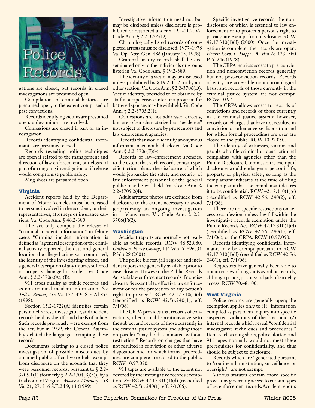

gations are closed; but records in closed investigations are presumed open.

Compilations of criminal histories are presumed open, to the extent comprised of past convictions.

Records identifying victims are presumed open, unless minors are involved.

Confessions are closed if part of an investigation.

Records identifying confidential informants are presumed closed.

Records revealing police techniques are open if related to the management and direction of law enforcement, but closed if part of an ongoing investigation or if release would compromise public safety.

Mug shots are presumed open.

#### **Virginia**

Accident reports held by the Department of Motor Vehicles must be released to persons involved in the accident, or their representatives, attorneys or insurance carriers. Va. Code Ann. § 46.2-380.

The act only compels the release of "criminal incident information" in felony cases. "Criminal incident information" is defined as "a general description of the criminal activity reported, the date and general location the alleged crime was committed, the identity of the investigating officer, and a general description of any injuries suffered or property damaged or stolen. Va. Code Ann. § 2.2-3706.(A), (B).

911 tapes qualify as public records and as non-criminal incident information. *See Tull v. Brown*, 255 Va. 177, 494 S.E.2d 855 (1998).

Section 15.2-1722(A) identifies certain personnel, arrest, investigative, and incident records held by sheriffs and chiefs of police. Such records previously were exempt from the act, but in 1999, the General Assembly deleted the language exempting these records.

Documents relating to a closed police investigation of possible misconduct by a named public official were held exempt from disclosure on the grounds that they were personnel records, pursuant to § 2.2-  $3705.1(1)$  (formerly § 2.2-3704(B)(3)), by a trial court of Virginia. *Moore v. Maroney*, 258 Va. 21, 27, 516 S.E.2d 9, 13 (1999).

Investigative information need not but may be disclosed unless disclosure is prohibited or restricted under § 19.2-11.2. Va. Code Ann. § 2.2-3706(D).

Chronologically listed records of completed arrests must be disclosed. 1977-1978 Va. Op. Atty. Gen. 486 (January 13, 1978).

Criminal history records shall be disseminated only to the individuals or groups listed in Va. Code Ann. § 19.2-389.

The identity of a victim may be disclosed unless prohibited by § 19.2-11.2, or by another section. Va. Code Ann. § 2.2-3706(D). Victim identity, provided to or obtained by staff in a rape crisis center or a program for battered spouses may be withheld. Va. Code Ann. § 2.2-3705.2(1).

Confessions are not addressed directly, but are often characterized as "evidence" not subject to disclosure by prosecutors and law enforcement agencies.

Records that would identify anonymous informants need not be disclosed. Va. Code Ann. § 2.2-3706(F)(4).

Records of law-enforcement agencies, to the extent that such records contain specific tactical plans, the disclosure of which would jeopardize the safety and security of law enforcement personnel or the general public may be withheld. Va. Code Ann. § 2.2-3705.2(4).

Adult arrestee photos are excluded from disclosure to the extent necessary to avoid jeopardizing an ongoing investigation in a felony case. Va. Code Ann. § 2.2-  $3706(F)(2)$ .

#### **Washington**

Accident reports are normally not available as public records. RCW 46.52.080. *Guillen v. Pierce County*, 144 Wn.2d 696, 31 P.3d 628 (2001).

The police blotter, jail register and incident reports are generally available prior to case closure. However, the Public Records Act seals law enforcement records if nondisclosure "is essential to effective law enforcement or for the protection of any person's right to privacy." RCW  $42.17.310(1)(d)$ (recodified as RCW 42.56.240(1), eff. 7/1/06).

The CRPA provides that records of convictions, other formal dispositions adverse to the subject and records of those currently in the criminal justice system (including those on parole) "may be disseminated without restriction." Records on charges that have not resulted in conviction or other adverse disposition and for which formal proceedings are complete are closed to the public. RCW 10.97.050.

911 tapes are available to the extent not covered by the investigative records exemption. *See* RCW 42.17.310(1)(d) (recodified as RCW 42.56. 240(1), eff. 7/1/06).

Specific investigative records, the nondisclosure of which is essential to law enforcement or to protect a person's right to privacy, are exempt from disclosure. RCW 42.17.310(1)(d) (2000). Once the investigation is complete, the records are open. *Hearst Corp. v. Hoppe*, 90 Wn.2d 123, 580 P.2d 246 (1978).

The CRPA restricts access to pre-conviction and nonconviction records generally but not post-conviction records. Records of entry are accessible on a chronological basis, and records of those currently in the criminal justice system are not exempt. RCW 10.97.

The CRPA allows access to records of convictions and records of those currently in the criminal justice system; however, records on charges that have not resulted in conviction or other adverse disposition and for which formal proceedings are over are closed to the public. RCW 10.97.050.

The identity of witnesses, victims and people who file criminal or quasi-criminal complaints with agencies other than the Public Disclosure Commission is exempt if disclosure would endanger a person's life, property or physical safety, so long as the complainant indicates at the time of filing the complaint that the complainant desires it to be confidential. RCW 42.17.310(1)(e) (recodified as RCW 42.56. 240(2), eff. 7/1/06).

There are no specific restrictions on access to confessions unless they fall within the investigative records exemption under the Public Records Act, RCW 42.17.310(1)(d) (recodified as RCW 42.56. 240(1), eff. 7/1/06), or the CRPA. RCW 10.97.050.

Records identifying confidential informants may be exempt pursuant to RCW 42.17.310(1)(d) (recodified as RCW 42.56. 240(1), eff. 7/1/06).

Requesters have generally been able to obtain copies of mug shots as public records, although police, prisons and jails often delay access. RCW 70.48.100.

#### **West Virginia**

Police records are generally open; the exemption applies only to (1) "information compiled as part of an inquiry into specific suspected violations of the law" and (2) internal records which reveal "confidential investigative techniques and procedures." Items such as mug shots, police blotters and 911 tapes normally would not meet these prerequisites for confidentiality, and thus should be subject to disclosure.

Records which are "generated pursuant to 'routine administration, surveillance or oversight'" are not exempt.

Various statutes contain more specific provisions governing access to certain types of law enforcement records. Accident reports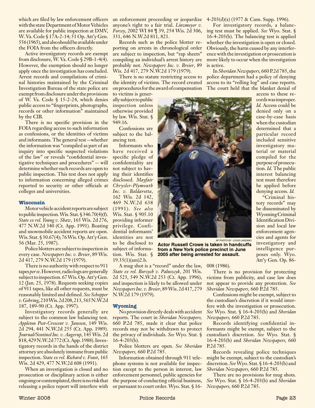which are filed by law enforcement officers with the state Department of Motor Vehicles are available for public inspection at DMV, W. Va. Code § 17A-2-14; 51 Op. Att'y Gen. 556 (1965), and also should be available under the FOIA from the officers directly.

Active investigatory records are exempt from disclosure, W. Va. Code § 29B-1-4(4). However, the exemption should no longer apply once the investigation has concluded. Arrest records and compilations of criminal histories maintained by the Criminal Investigation Bureau of the state police are exempt from disclosure under the provisions of W. Va. Code § 15-2-24, which denies public access to "fingerprints, photographs, records or other information" maintained by the CIB.

There is no specific provision in the FOIA regarding access to such information as confessions, or the identities of victims and informants. The general test --whether the information was "compiled as part of an inquiry into specific suspected violations of the law" or reveals "confidential investigative techniques and procedures" -- will determine whether such records are open to public inspection. This test does not apply to information concerning alleged crimes reported to security or other officials at colleges and universities.

#### **Wisconsin**

Motor vehicle accident reports are subject to public inspection. Wis. Stat. § 346.70(4)(f). *State ex rel. Young v. Shaw*, 165 Wis. 2d 276, 477 N.W.2d 340 (Ct. App. 1991). Boating and snowmobile accident reports are open. Wis. Stat. § 30.67(4); 76 Wis. Op. Att'y Gen. 56 (Mar. 25, 1987).

Police blotters are subject to inspection in every case. *Newspapers Inc. v. Breier*, 89 Wis. 2d 417, 279 N.W.2d 179 (1979).

There is no authority with respect to 911 tapes *per se*. However, radio logs are generally subject to inspection. 67 Wis. Op. Att'y Gen. 12 (Jan. 25, 1978). Requests seeking copies of 911 tapes, like all other requests, must be reasonably limited and defined. *See Schopper v. Gehring*, 210 Wis. 2d 208, 213, 565 N.W.2d 187, 189-90 (Ct. App. 1997).

Investigatory records generally are subject to the common law balancing test. *Appleton Post-Crescent v. Janssen*, 149 Wis. 2d 294, 441 N.W.2d 255 (Ct. App. 1989). *Journal/Sentinel Inc. v. Aagerup*, 145 Wis. 2d 818, 429 N.W.2d 772 (Ct. App. 1988). Investigatory records in the hands of the district attorney are absolutely immune from public inspection. *State ex rel. Richard v. Foust*, 165 Wis. 2d 429, 477 N.W.2d 608 (1991).

When an investigation is closed and no prosecution or disciplinary action is either ongoing or contemplated, there is no risk that releasing a police report will interfere with

an enforcement proceeding or jeopardize  $4-203(d)(x)$  (1977 & Cum. Supp. 1996). anyone's right to a fair trial. *Linzmeyer v. Forcey*, 2002 WI 84 ¶ 39, 254 Wis. 2d 306, 331, 646 N.W.2d 811, 821.

Records such as the police blotter reporting on arrests in chronological order are subject to inspection, but "rap sheets" compiling an individual's arrest history are probably not. *Newspapers Inc. v. Breier*, 89 Wis. 2d 417, 279 N.W.2d 179 (1979).

There is no statute restricting access to the identity of victims. The record created on procedures for the award of compensation

to victims is generally subject to public inspection unless otherwise provided by law. Wis. Stat. § 949.16.

Confessions are subject to the balancing test.

Informants who have received a specific pledge of confidentiality are not subject to having their identifies disclosed. *Mayfair Chrysler-Plymouth Inc. v. Baldarotta*, 162 Wis. 2d 142, 469 N.W.2d 638 (1991). *See also* Wis. Stat. § 905.10 providing informer privilege. Confidential informants' identities are not to be disclosed to subject of information. Wis. Stat. § 19.35(1)(am)2.b.



AP PHOTO BY LOUIS LANZANO **Actor Russell Crowe is taken in handcuffs from a New York police precinct in June 2005 after being arrested for assault.** 

A mug shot is a "record" under the law, *State ex rel. Borzych v. Paluszcyk*, 201 Wis. 2d 523, 549 N.W.2d 253 (Ct. App. 1996), and inspection is likely to be allowed under *Newspapers Inc. v. Breier*, 89 Wis. 2d 417, 279 N.W.2d 179 (1979).

#### **Wyoming**

No provision directly deals with accident reports. The court in *Sheridan Newspapers,* 660 P.2d 785, made it clear that police records may not be withdrawn to protect the privacy of individuals. *See* Wyo. Stat. §  $16-4-203(b)$ .

Police blotters are open. *See Sheridan Newspapers,* 660 P.2d 785.

Information obtained through 911 telephone systems is not available for inspection except to the person in interest, law enforcement personnel, public agencies for the purpose of conducting official business, or pursuant to court order. Wyo. Stat. § 16-

For investigatory records, a balancing test must be applied. *See* Wyo. Stat. § 16-4-203(b). The balancing test is applied whether the investigation is open or closed. Obviously, the harm caused by any interference with the investigation or prosecution is more likely to occur when the investigation is active.

In *Sheridan Newspapers,* 660 P.2d 785, the police department had a policy of denying access to its "rolling log" and case reports. The court held that the blanket denial of

access to these records was improper. *Id.* Access could be denied only on a case-by-case basis when the custodian determined that a particular record included sensitive investigatory material or material compiled for the purpose of prosecution. *Id.* The public interest balancing test must therefore be applied before denying access. *Id.*

"Criminal history records" may be disseminated by Wyoming Criminal Identification Division and local law enforcement agencies and agents for investigatory and intelligence purposes only. Wyo. Att'y Gen. Op. 86-

008 (1986).

There is no provision for protecting victims from publicity, and case law does not appear to provide any protection. *See Sheridan Newspapers,* 660 P.2d 785.

Confessions might be exempt, subject to the custodian's discretion if it would interfere with the investigation or prosecution. *See* Wyo. Stat. § 16-4-203(b) and *Sheridan Newspapers,* 660 P.2d 785.

Records identifying confidential informants might be exempt, subject to the custodian's discretion. *See* Wyo. Stat. § 16-4-203(b) and *Sheridan Newspapers,* 660 P.2d 785.

Records revealing police techniques might be exempt, subject to the custodian's discretion. *See* Wyo. Stat. § 16-4-203(b) and *Sheridan Newspapers,* 660 P.2d 785.

There are no provisions for mug shots. *See* Wyo. Stat. § 16-4-203(b) and *Sheridan Newspapers,* 660 P.2d 785.